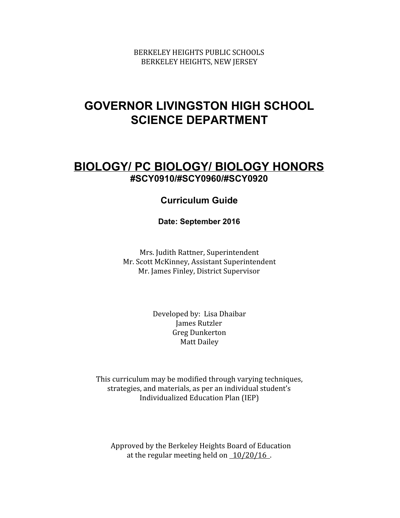BERKELEY HEIGHTS PUBLIC SCHOOLS BERKELEY HEIGHTS, NEW JERSEY

# **GOVERNOR LIVINGSTON HIGH SCHOOL SCIENCE DEPARTMENT**

# **BIOLOGY/ PC BIOLOGY/ BIOLOGY HONORS #SCY0910/#SCY0960/#SCY0920**

# **Curriculum Guide**

**Date: September 2016**

Mrs. Judith Rattner, Superintendent Mr. Scott McKinney, Assistant Superintendent Mr. James Finley, District Supervisor

> Developed by: Lisa Dhaibar James Rutzler Greg Dunkerton Matt Dailey

This curriculum may be modified through varying techniques, strategies, and materials, as per an individual student's Individualized Education Plan (IEP)

 Approved by the Berkeley Heights Board of Education at the regular meeting held on  $10/20/16$ .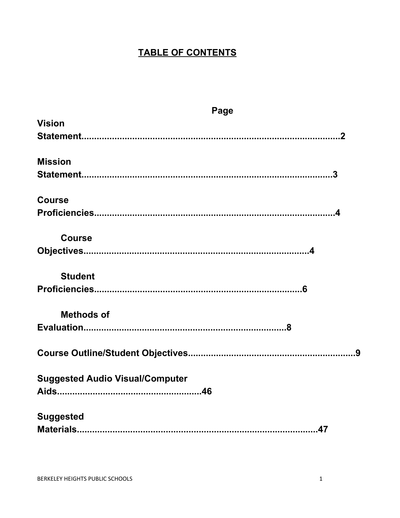# **TABLE OF CONTENTS**

| Page                                   |
|----------------------------------------|
| <b>Vision</b>                          |
|                                        |
|                                        |
| <b>Mission</b>                         |
|                                        |
| <b>Course</b>                          |
|                                        |
|                                        |
| <b>Course</b>                          |
|                                        |
| <b>Student</b>                         |
|                                        |
| <b>Methods of</b>                      |
|                                        |
|                                        |
|                                        |
| <b>Suggested Audio Visual/Computer</b> |
|                                        |
|                                        |
| <b>Suggested</b>                       |
|                                        |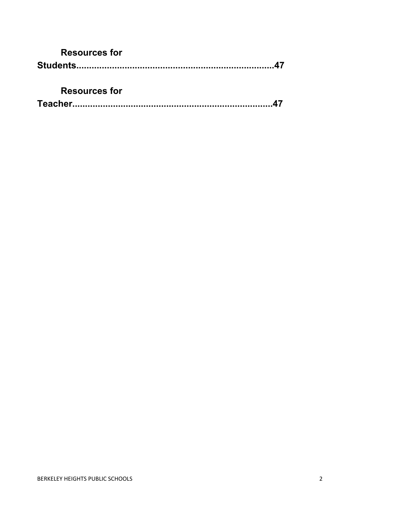| <b>Resources for</b> |  |
|----------------------|--|
|                      |  |
|                      |  |
| <b>Resources for</b> |  |
|                      |  |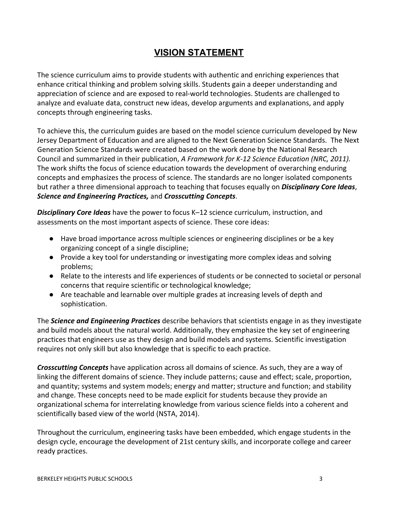# **VISION STATEMENT**

The science curriculum aims to provide students with authentic and enriching experiences that enhance critical thinking and problem solving skills. Students gain a deeper understanding and appreciation of science and are exposed to real-world technologies. Students are challenged to analyze and evaluate data, construct new ideas, develop arguments and explanations, and apply concepts through engineering tasks.

To achieve this, the curriculum guides are based on the model science curriculum developed by New Jersey Department of Education and are aligned to the Next Generation Science Standards. The Next Generation Science Standards were created based on the work done by the National Research Council and summarized in their publication, *A Framework for K-12 Science Education (NRC, 2011).* The work shifts the focus of science education towards the development of overarching enduring concepts and emphasizes the process of science. The standards are no longer isolated components but rather a three dimensional approach to teaching that focuses equally on *Disciplinary Core Ideas*, *Science and Engineering Practices,* and *Crosscutting Concepts*.

 *Disciplinary Core Ideas* have the power to focus K–12 science curriculum, instruction, and assessments on the most important aspects of science. These core ideas:

- Have broad importance across multiple sciences or engineering disciplines or be a key organizing concept of a single discipline;
- Provide a key tool for understanding or investigating more complex ideas and solving problems;
- Relate to the interests and life experiences of students or be connected to societal or personal concerns that require scientific or technological knowledge;
- Are teachable and learnable over multiple grades at increasing levels of depth and sophistication.

 The *Science and Engineering Practices* describe behaviors that scientists engage in as they investigate and build models about the natural world. Additionally, they emphasize the key set of engineering practices that engineers use as they design and build models and systems. Scientific investigation requires not only skill but also knowledge that is specific to each practice.

 *Crosscutting Concepts* have application across all domains of science. As such, they are a way of linking the different domains of science. They include patterns; cause and effect; scale, proportion, and quantity; systems and system models; energy and matter; structure and function; and stability and change. These concepts need to be made explicit for students because they provide an organizational schema for interrelating knowledge from various science fields into a coherent and scientifically based view of the world (NSTA, 2014).

Throughout the curriculum, engineering tasks have been embedded, which engage students in the design cycle, encourage the development of 21st century skills, and incorporate college and career ready practices.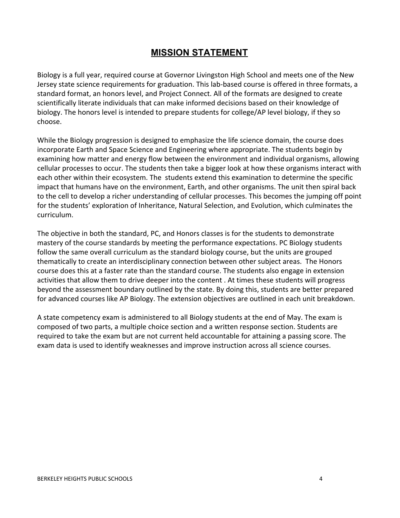# **MISSION STATEMENT**

Biology is a full year, required course at Governor Livingston High School and meets one of the New Jersey state science requirements for graduation. This lab-based course is offered in three formats, a standard format, an honors level, and Project Connect. All of the formats are designed to create scientifically literate individuals that can make informed decisions based on their knowledge of biology. The honors level is intended to prepare students for college/AP level biology, if they so choose.

While the Biology progression is designed to emphasize the life science domain, the course does incorporate Earth and Space Science and Engineering where appropriate. The students begin by examining how matter and energy flow between the environment and individual organisms, allowing cellular processes to occur. The students then take a bigger look at how these organisms interact with each other within their ecosystem. The students extend this examination to determine the specific impact that humans have on the environment, Earth, and other organisms. The unit then spiral back to the cell to develop a richer understanding of cellular processes. This becomes the jumping off point for the students' exploration of Inheritance, Natural Selection, and Evolution, which culminates the curriculum.

The objective in both the standard, PC, and Honors classes is for the students to demonstrate mastery of the course standards by meeting the performance expectations. PC Biology students follow the same overall curriculum as the standard biology course, but the units are grouped thematically to create an interdisciplinary connection between other subject areas. The Honors course does this at a faster rate than the standard course. The students also engage in extension activities that allow them to drive deeper into the content . At times these students will progress beyond the assessment boundary outlined by the state. By doing this, students are better prepared for advanced courses like AP Biology. The extension objectives are outlined in each unit breakdown.

A state competency exam is administered to all Biology students at the end of May. The exam is composed of two parts, a multiple choice section and a written response section. Students are required to take the exam but are not current held accountable for attaining a passing score. The exam data is used to identify weaknesses and improve instruction across all science courses.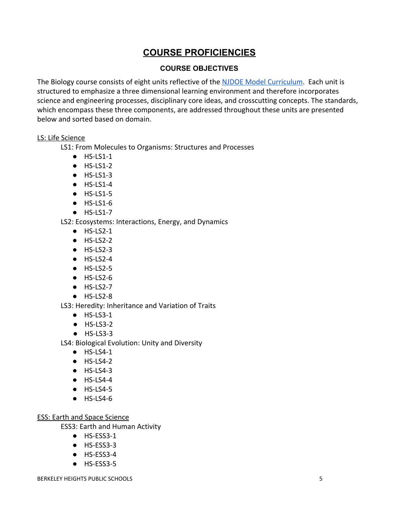# **COURSE PROFICIENCIES**

## **COURSE OBJECTIVES**

The Biology course consists of eight units reflective of the [NJDOE Model Curriculum.](http://www.state.nj.us/education/modelcurriculum/sci/) Each unit is structured to emphasize a three dimensional learning environment and therefore incorporates science and engineering processes, disciplinary core ideas, and crosscutting concepts. The standards, which encompass these three components, are addressed throughout these units are presented below and sorted based on domain.

#### LS: Life Science

LS1: From Molecules to Organisms: Structures and Processes

- $\bullet$  HS-LS1-1
- $\bullet$  HS-LS1-2
- HS-LS1-3
- $\bullet$  HS-LS1-4
- HS-LS1-5
- HS-LS1-6
- HS-LS1-7

LS2: Ecosystems: Interactions, Energy, and Dynamics

- HS-LS2-1
- $\bullet$  HS-LS2-2
- HS-LS2-3
- HS-LS2-4
- HS-LS2-5
- HS-LS2-6
- HS-LS2-7
- HS-LS2-8

LS3: Heredity: Inheritance and Variation of Traits

- HS-LS3-1
- HS-LS3-2
- $\bullet$  HS-LS3-3

LS4: Biological Evolution: Unity and Diversity

- HS-LS4-1
- HS-LS4-2
- HS-LS4-3
- HS-LS4-4
- HS-LS4-5
- HS-LS4-6

#### **ESS: Earth and Space Science**

ESS3: Earth and Human Activity

- HS-ESS3-1
- HS-ESS3-3
- HS-ESS3-4
- HS-ESS3-5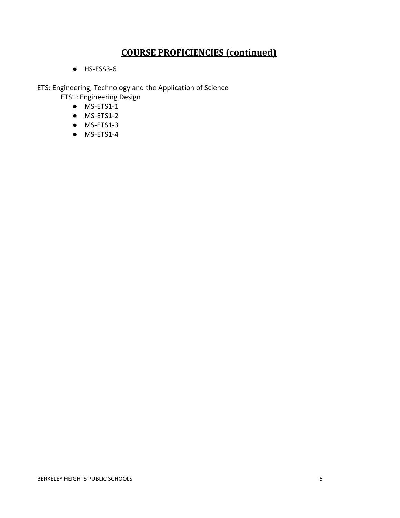# **COURSE PROFICIENCIES (continued)**

● HS-ESS3-6

ETS: Engineering, Technology and the Application of Science

ETS1: Engineering Design

- MS-ETS1-1
- MS-ETS1-2
- MS-ETS1-3
- MS-ETS1-4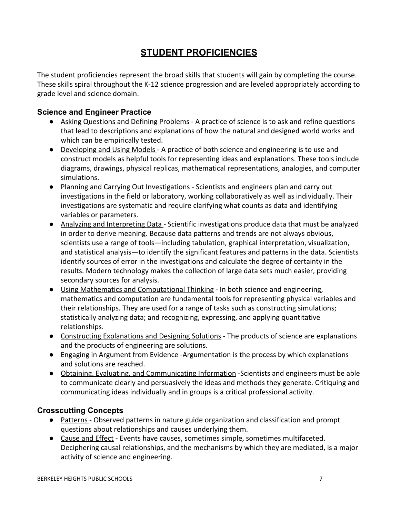# **STUDENT PROFICIENCIES**

The student proficiencies represent the broad skills that students will gain by completing the course. These skills spiral throughout the K-12 science progression and are leveled appropriately according to grade level and science domain.

## **Science and Engineer Practice**

- Asking Questions and Defining Problems A practice of science is to ask and refine questions that lead to descriptions and explanations of how the natural and designed world works and which can be empirically tested.
- Developing and Using Models A practice of both science and engineering is to use and construct models as helpful tools for representing ideas and explanations. These tools include diagrams, drawings, physical replicas, mathematical representations, analogies, and computer simulations.
- Planning and Carrying Out Investigations Scientists and engineers plan and carry out investigations in the field or laboratory, working collaboratively as well as individually. Their investigations are systematic and require clarifying what counts as data and identifying variables or parameters.
- Analyzing and Interpreting Data Scientific investigations produce data that must be analyzed in order to derive meaning. Because data patterns and trends are not always obvious, scientists use a range of tools—including tabulation, graphical interpretation, visualization, and statistical analysis—to identify the significant features and patterns in the data. Scientists identify sources of error in the investigations and calculate the degree of certainty in the results. Modern technology makes the collection of large data sets much easier, providing secondary sources for analysis.
- Using Mathematics and Computational Thinking In both science and engineering, mathematics and computation are fundamental tools for representing physical variables and their relationships. They are used for a range of tasks such as constructing simulations; statistically analyzing data; and recognizing, expressing, and applying quantitative relationships.
- Constructing Explanations and Designing Solutions The products of science are explanations and the products of engineering are solutions.
- Engaging in Argument from Evidence -Argumentation is the process by which explanations and solutions are reached.
- Obtaining, Evaluating, and Communicating Information -Scientists and engineers must be able to communicate clearly and persuasively the ideas and methods they generate. Critiquing and communicating ideas individually and in groups is a critical professional activity.

## **Crosscutting Concepts**

- Patterns Observed patterns in nature guide organization and classification and prompt questions about relationships and causes underlying them.
- Cause and Effect Events have causes, sometimes simple, sometimes multifaceted. Deciphering causal relationships, and the mechanisms by which they are mediated, is a major activity of science and engineering.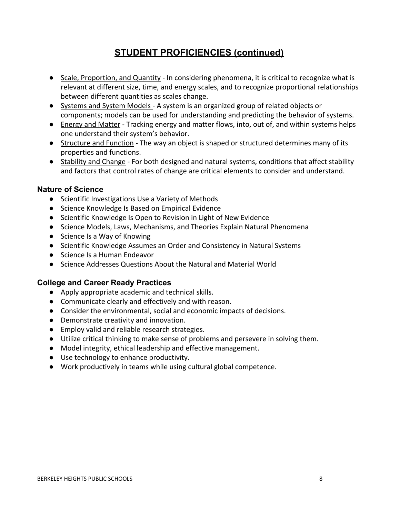# **STUDENT PROFICIENCIES (continued)**

- Scale, Proportion, and Quantity In considering phenomena, it is critical to recognize what is relevant at different size, time, and energy scales, and to recognize proportional relationships between different quantities as scales change.
- Systems and System Models A system is an organized group of related objects or components; models can be used for understanding and predicting the behavior of systems.
- Energy and Matter Tracking energy and matter flows, into, out of, and within systems helps one understand their system's behavior.
- Structure and Function The way an object is shaped or structured determines many of its properties and functions.
- Stability and Change For both designed and natural systems, conditions that affect stability and factors that control rates of change are critical elements to consider and understand.

### **Nature of Science**

- Scientific Investigations Use a Variety of Methods
- Science Knowledge Is Based on Empirical Evidence
- Scientific Knowledge Is Open to Revision in Light of New Evidence
- Science Models, Laws, Mechanisms, and Theories Explain Natural Phenomena
- Science Is a Way of Knowing
- Scientific Knowledge Assumes an Order and Consistency in Natural Systems
- Science Is a Human Endeavor
- Science Addresses Questions About the Natural and Material World

### **College and Career Ready Practices**

- Apply appropriate academic and technical skills.
- Communicate clearly and effectively and with reason.
- Consider the environmental, social and economic impacts of decisions.
- Demonstrate creativity and innovation.
- Employ valid and reliable research strategies.
- Utilize critical thinking to make sense of problems and persevere in solving them.
- Model integrity, ethical leadership and effective management.
- Use technology to enhance productivity.
- Work productively in teams while using cultural global competence.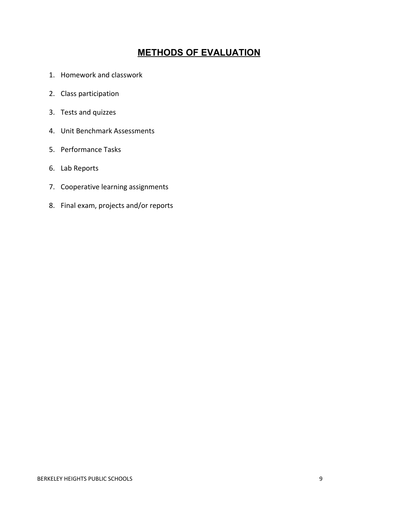# **METHODS OF EVALUATION**

- 1. Homework and classwork
- 2. Class participation
- 3. Tests and quizzes
- 4. Unit Benchmark Assessments
- 5. Performance Tasks
- 6. Lab Reports
- 7. Cooperative learning assignments
- 8. Final exam, projects and/or reports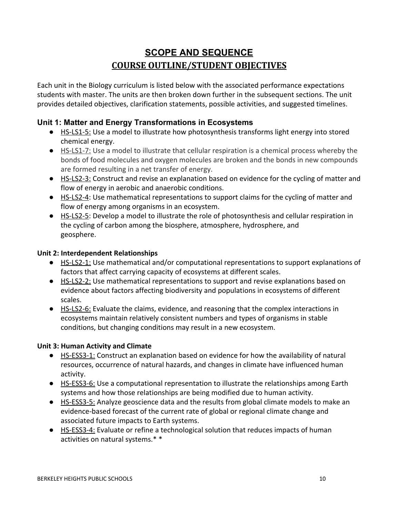# **SCOPE AND SEQUENCE COURSE OUTLINE/STUDENT OBJECTIVES**

Each unit in the Biology curriculum is listed below with the associated performance expectations students with master. The units are then broken down further in the subsequent sections. The unit provides detailed objectives, clarification statements, possible activities, and suggested timelines.

## **Unit 1: Matter and Energy Transformations in Ecosystems**

- HS-LS1-5: Use a model to illustrate how photosynthesis transforms light energy into stored chemical energy.
- HS-LS1-7: Use a model to illustrate that cellular respiration is a chemical process whereby the bonds of food molecules and oxygen molecules are broken and the bonds in new compounds are formed resulting in a net transfer of energy.
- HS-LS2-3: Construct and revise an explanation based on evidence for the cycling of matter and flow of energy in aerobic and anaerobic conditions.
- HS-LS2-4: Use mathematical representations to support claims for the cycling of matter and flow of energy among organisms in an ecosystem.
- HS-LS2-5: Develop a model to illustrate the role of photosynthesis and cellular respiration in the cycling of carbon among the biosphere, atmosphere, hydrosphere, and geosphere.

### **Unit 2: Interdependent Relationships**

- HS-LS2-1: Use mathematical and/or computational representations to support explanations of factors that affect carrying capacity of ecosystems at different scales.
- HS-LS2-2: Use mathematical representations to support and revise explanations based on evidence about factors affecting biodiversity and populations in ecosystems of different scales.
- HS-LS2-6: Evaluate the claims, evidence, and reasoning that the complex interactions in ecosystems maintain relatively consistent numbers and types of organisms in stable conditions, but changing conditions may result in a new ecosystem.

## **Unit 3: Human Activity and Climate**

- HS-ESS3-1: Construct an explanation based on evidence for how the availability of natural resources, occurrence of natural hazards, and changes in climate have influenced human activity.
- HS-ESS3-6: Use a computational representation to illustrate the relationships among Earth systems and how those relationships are being modified due to human activity.
- HS-ESS3-5: Analyze geoscience data and the results from global climate models to make an evidence-based forecast of the current rate of global or regional climate change and associated future impacts to Earth systems.
- HS-ESS3-4: Evaluate or refine a technological solution that reduces impacts of human activities on natural systems.\* \*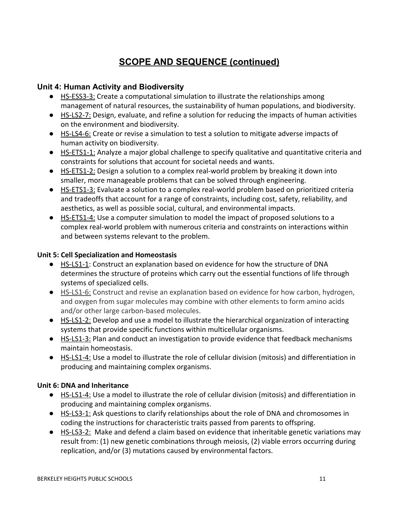# **SCOPE AND SEQUENCE (continued)**

## **Unit 4: Human Activity and Biodiversity**

- HS-ESS3-3: Create a computational simulation to illustrate the relationships among management of natural resources, the sustainability of human populations, and biodiversity.
- HS-LS2-7: Design, evaluate, and refine a solution for reducing the impacts of human activities on the environment and biodiversity.
- HS-LS4-6: Create or revise a simulation to test a solution to mitigate adverse impacts of human activity on biodiversity.
- HS-ETS1-1: Analyze a major global challenge to specify qualitative and quantitative criteria and constraints for solutions that account for societal needs and wants.
- HS-ETS1-2: Design a solution to a complex real-world problem by breaking it down into smaller, more manageable problems that can be solved through engineering.
- HS-ETS1-3: Evaluate a solution to a complex real-world problem based on prioritized criteria and tradeoffs that account for a range of constraints, including cost, safety, reliability, and aesthetics, as well as possible social, cultural, and environmental impacts.
- HS-ETS1-4: Use a computer simulation to model the impact of proposed solutions to a complex real-world problem with numerous criteria and constraints on interactions within and between systems relevant to the problem.

## **Unit 5: Cell Specialization and Homeostasis**

- HS-LS1-1: Construct an explanation based on evidence for how the structure of DNA determines the structure of proteins which carry out the essential functions of life through systems of specialized cells.
- HS-LS1-6: Construct and revise an explanation based on evidence for how carbon, hydrogen, and oxygen from sugar molecules may combine with other elements to form amino acids and/or other large carbon-based molecules.
- HS-LS1-2: Develop and use a model to illustrate the hierarchical organization of interacting systems that provide specific functions within multicellular organisms.
- HS-LS1-3: Plan and conduct an investigation to provide evidence that feedback mechanisms maintain homeostasis.
- HS-LS1-4: Use a model to illustrate the role of cellular division (mitosis) and differentiation in producing and maintaining complex organisms.

## **Unit 6: DNA and Inheritance**

- HS-LS1-4: Use a model to illustrate the role of cellular division (mitosis) and differentiation in producing and maintaining complex organisms.
- HS-LS3-1: Ask questions to clarify relationships about the role of DNA and chromosomes in coding the instructions for characteristic traits passed from parents to offspring.
- HS-LS3-2: Make and defend a claim based on evidence that inheritable genetic variations may result from: (1) new genetic combinations through meiosis, (2) viable errors occurring during replication, and/or (3) mutations caused by environmental factors.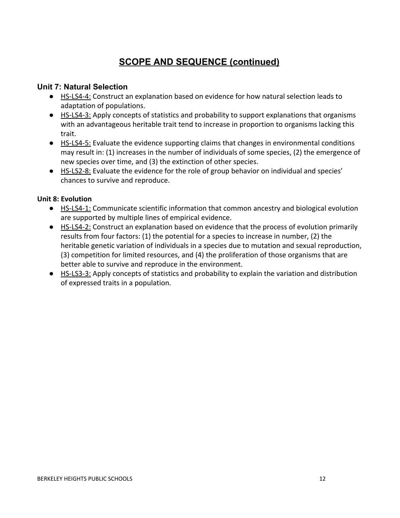# **SCOPE AND SEQUENCE (continued)**

### **Unit 7: Natural Selection**

- HS-LS4-4: Construct an explanation based on evidence for how natural selection leads to adaptation of populations.
- HS-LS4-3: Apply concepts of statistics and probability to support explanations that organisms with an advantageous heritable trait tend to increase in proportion to organisms lacking this trait.
- HS-LS4-5: Evaluate the evidence supporting claims that changes in environmental conditions may result in: (1) increases in the number of individuals of some species, (2) the emergence of new species over time, and (3) the extinction of other species.
- HS-LS2-8: Evaluate the evidence for the role of group behavior on individual and species' chances to survive and reproduce.

### **Unit 8: Evolution**

- HS-LS4-1: Communicate scientific information that common ancestry and biological evolution are supported by multiple lines of empirical evidence.
- HS-LS4-2: Construct an explanation based on evidence that the process of evolution primarily results from four factors: (1) the potential for a species to increase in number, (2) the heritable genetic variation of individuals in a species due to mutation and sexual reproduction, (3) competition for limited resources, and (4) the proliferation of those organisms that are better able to survive and reproduce in the environment.
- HS-LS3-3: Apply concepts of statistics and probability to explain the variation and distribution of expressed traits in a population.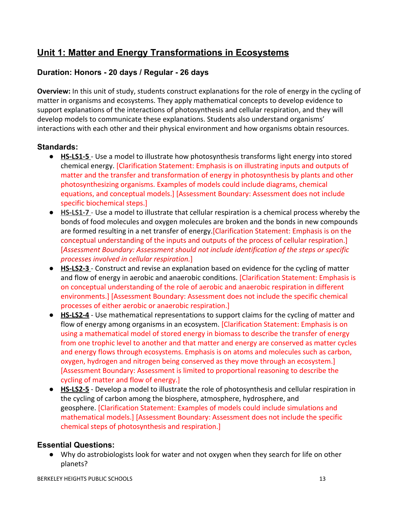# **Unit 1: Matter and Energy Transformations in Ecosystems**

# **Duration: Honors - 20 days / Regular - 26 days**

**Overview:** In this unit of study, students construct explanations for the role of energy in the cycling of matter in organisms and ecosystems. They apply mathematical concepts to develop evidence to support explanations of the interactions of photosynthesis and cellular respiration, and they will develop models to communicate these explanations. Students also understand organisms' interactions with each other and their physical environment and how organisms obtain resources.

## **Standards:**

- **HS-LS1-5**  Use a model to illustrate how photosynthesis transforms light energy into stored chemical energy. [Clarification Statement: Emphasis is on illustrating inputs and outputs of matter and the transfer and transformation of energy in photosynthesis by plants and other photosynthesizing organisms. Examples of models could include diagrams, chemical equations, and conceptual models.] [Assessment Boundary: Assessment does not include specific biochemical steps.]
- **HS-LS1-7** Use a model to illustrate that cellular respiration is a chemical process whereby the bonds of food molecules and oxygen molecules are broken and the bonds in new compounds are formed resulting in a net transfer of energy.[Clarification Statement: Emphasis is on the conceptual understanding of the inputs and outputs of the process of cellular respiration.] [*Assessment Boundary: Assessment should not include identification of the steps or specific processes involved in cellular respiration.*]
- **HS-LS2-3**  Construct and revise an explanation based on evidence for the cycling of matter and flow of energy in aerobic and anaerobic conditions. [Clarification Statement: Emphasis is on conceptual understanding of the role of aerobic and anaerobic respiration in different environments.] [Assessment Boundary: Assessment does not include the specific chemical processes of either aerobic or anaerobic respiration.]
- **HS-LS2-4** Use mathematical representations to support claims for the cycling of matter and flow of energy among organisms in an ecosystem. [Clarification Statement: Emphasis is on using a mathematical model of stored energy in biomass to describe the transfer of energy from one trophic level to another and that matter and energy are conserved as matter cycles and energy flows through ecosystems. Emphasis is on atoms and molecules such as carbon, oxygen, hydrogen and nitrogen being conserved as they move through an ecosystem.] [Assessment Boundary: Assessment is limited to proportional reasoning to describe the cycling of matter and flow of energy.]
- **HS-LS2-5** Develop a model to illustrate the role of photosynthesis and cellular respiration in the cycling of carbon among the biosphere, atmosphere, hydrosphere, and geosphere. [Clarification Statement: Examples of models could include simulations and mathematical models.] [Assessment Boundary: Assessment does not include the specific chemical steps of photosynthesis and respiration.]

### **Essential Questions:**

● Why do astrobiologists look for water and not oxygen when they search for life on other planets?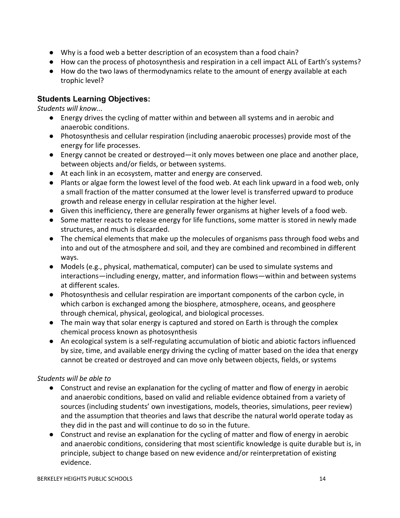- Why is a food web a better description of an ecosystem than a food chain?
- How can the process of photosynthesis and respiration in a cell impact ALL of Earth's systems?
- How do the two laws of thermodynamics relate to the amount of energy available at each trophic level?

## **Students Learning Objectives:**

*Students will know...*

- Energy drives the cycling of matter within and between all systems and in aerobic and anaerobic conditions.
- Photosynthesis and cellular respiration (including anaerobic processes) provide most of the energy for life processes.
- Energy cannot be created or destroyed—it only moves between one place and another place, between objects and/or fields, or between systems.
- At each link in an ecosystem, matter and energy are conserved.
- Plants or algae form the lowest level of the food web. At each link upward in a food web, only a small fraction of the matter consumed at the lower level is transferred upward to produce growth and release energy in cellular respiration at the higher level.
- Given this inefficiency, there are generally fewer organisms at higher levels of a food web.
- Some matter reacts to release energy for life functions, some matter is stored in newly made structures, and much is discarded.
- The chemical elements that make up the molecules of organisms pass through food webs and into and out of the atmosphere and soil, and they are combined and recombined in different ways.
- Models (e.g., physical, mathematical, computer) can be used to simulate systems and interactions—including energy, matter, and information flows—within and between systems at different scales.
- Photosynthesis and cellular respiration are important components of the carbon cycle, in which carbon is exchanged among the biosphere, atmosphere, oceans, and geosphere through chemical, physical, geological, and biological processes.
- The main way that solar energy is captured and stored on Earth is through the complex chemical process known as photosynthesis
- An ecological system is a self-regulating accumulation of biotic and abiotic factors influenced by size, time, and available energy driving the cycling of matter based on the idea that energy cannot be created or destroyed and can move only between objects, fields, or systems

## … *Students will be able to*

- Construct and revise an explanation for the cycling of matter and flow of energy in aerobic and anaerobic conditions, based on valid and reliable evidence obtained from a variety of sources (including students' own investigations, models, theories, simulations, peer review) and the assumption that theories and laws that describe the natural world operate today as they did in the past and will continue to do so in the future.
- Construct and revise an explanation for the cycling of matter and flow of energy in aerobic and anaerobic conditions, considering that most scientific knowledge is quite durable but is, in principle, subject to change based on new evidence and/or reinterpretation of existing evidence.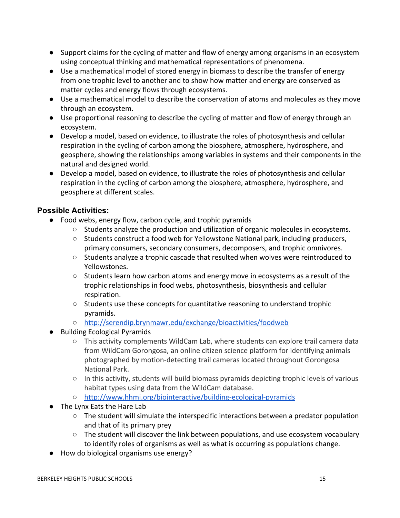- Support claims for the cycling of matter and flow of energy among organisms in an ecosystem using conceptual thinking and mathematical representations of phenomena.
- Use a mathematical model of stored energy in biomass to describe the transfer of energy from one trophic level to another and to show how matter and energy are conserved as matter cycles and energy flows through ecosystems.
- Use a mathematical model to describe the conservation of atoms and molecules as they move through an ecosystem.
- Use proportional reasoning to describe the cycling of matter and flow of energy through an ecosystem.
- Develop a model, based on evidence, to illustrate the roles of photosynthesis and cellular respiration in the cycling of carbon among the biosphere, atmosphere, hydrosphere, and geosphere, showing the relationships among variables in systems and their components in the natural and designed world.
- Develop a model, based on evidence, to illustrate the roles of photosynthesis and cellular respiration in the cycling of carbon among the biosphere, atmosphere, hydrosphere, and geosphere at different scales.

## **Possible Activities:**

- Food webs, energy flow, carbon cycle, and trophic pyramids
	- Students analyze the production and utilization of organic molecules in ecosystems.
	- Students construct a food web for Yellowstone National park, including producers, primary consumers, secondary consumers, decomposers, and trophic omnivores.
	- Students analyze a trophic cascade that resulted when wolves were reintroduced to Yellowstones.
	- $\circ$  Students learn how carbon atoms and energy move in ecosystems as a result of the trophic relationships in food webs, photosynthesis, biosynthesis and cellular respiration.
	- Students use these concepts for quantitative reasoning to understand trophic pyramids.
	- <http://serendip.brynmawr.edu/exchange/bioactivities/foodweb>
- Building Ecological Pyramids
	- This activity complements WildCam Lab, where students can explore trail camera data from WildCam Gorongosa, an online citizen science platform for identifying animals photographed by motion-detecting trail cameras located throughout Gorongosa National Park.
	- In this activity, students will build biomass pyramids depicting trophic levels of various habitat types using data from the WildCam database.
	- <http://www.hhmi.org/biointeractive/building-ecological-pyramids>
- The Lynx Eats the Hare Lab
	- $\circ$  The student will simulate the interspecific interactions between a predator population and that of its primary prey
	- $\circ$  The student will discover the link between populations, and use ecosystem vocabulary to identify roles of organisms as well as what is occurring as populations change.
- How do biological organisms use energy?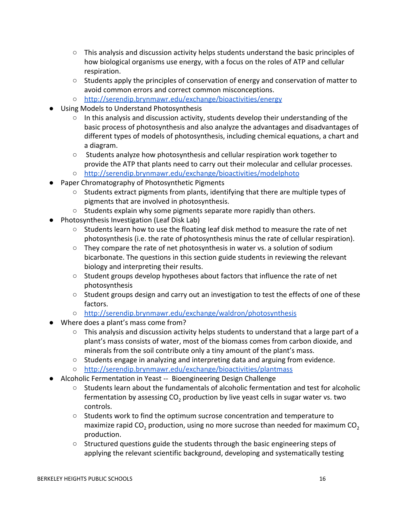- This analysis and discussion activity helps students understand the basic principles of how biological organisms use energy, with a focus on the roles of ATP and cellular respiration.
- Students apply the principles of conservation of energy and conservation of matter to avoid common errors and correct common misconceptions.
- <http://serendip.brynmawr.edu/exchange/bioactivities/energy>
- Using Models to Understand Photosynthesis
	- In this analysis and discussion activity, students develop their understanding of the basic process of photosynthesis and also analyze the advantages and disadvantages of different types of models of photosynthesis, including chemical equations, a chart and a diagram.
	- Students analyze how photosynthesis and cellular respiration work together to provide the ATP that plants need to carry out their molecular and cellular processes.
	- <http://serendip.brynmawr.edu/exchange/bioactivities/modelphoto>
- Paper Chromatography of Photosynthetic Pigments
	- Students extract pigments from plants, identifying that there are multiple types of pigments that are involved in photosynthesis.
	- Students explain why some pigments separate more rapidly than others.
- Photosynthesis Investigation (Leaf Disk Lab)
	- $\circ$  Students learn how to use the floating leaf disk method to measure the rate of net photosynthesis (i.e. the rate of photosynthesis minus the rate of cellular respiration).
	- They compare the rate of net photosynthesis in water vs. a solution of sodium bicarbonate. The questions in this section guide students in reviewing the relevant biology and interpreting their results.
	- Student groups develop hypotheses about factors that influence the rate of net photosynthesis
	- Student groups design and carry out an investigation to test the effects of one of these factors.
	- <http://serendip.brynmawr.edu/exchange/waldron/photosynthesis>
- Where does a plant's mass come from?
	- $\circ$  This analysis and discussion activity helps students to understand that a large part of a plant's mass consists of water, most of the biomass comes from carbon dioxide, and minerals from the soil contribute only a tiny amount of the plant's mass.
	- Students engage in analyzing and interpreting data and arguing from evidence.
	- <http://serendip.brynmawr.edu/exchange/bioactivities/plantmass>
- Alcoholic Fermentation in Yeast -- Bioengineering Design Challenge
	- Students learn about the fundamentals of alcoholic fermentation and test for alcoholic fermentation by assessing CO<sub>2</sub> production by live yeast cells in sugar water vs. two controls.
	- Students work to find the optimum sucrose concentration and temperature to maximize rapid CO<sub>2</sub> production, using no more sucrose than needed for maximum CO<sub>2</sub> production.
	- Structured questions guide the students through the basic engineering steps of applying the relevant scientific background, developing and systematically testing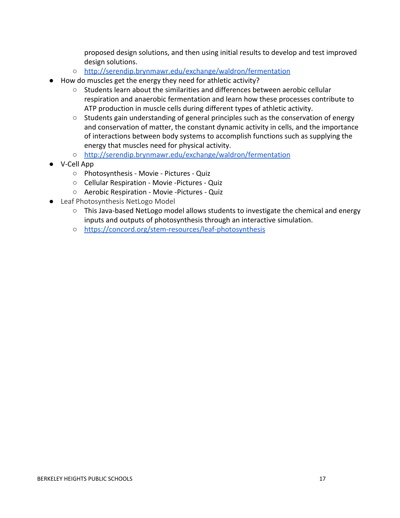proposed design solutions, and then using initial results to develop and test improved design solutions.

- <http://serendip.brynmawr.edu/exchange/waldron/fermentation>
- How do muscles get the energy they need for athletic activity?
	- Students learn about the similarities and differences between aerobic cellular respiration and anaerobic fermentation and learn how these processes contribute to ATP production in muscle cells during different types of athletic activity.
	- Students gain understanding of general principles such as the conservation of energy and conservation of matter, the constant dynamic activity in cells, and the importance of interactions between body systems to accomplish functions such as supplying the energy that muscles need for physical activity.
	- <http://serendip.brynmawr.edu/exchange/waldron/fermentation>
- V-Cell App
	- Photosynthesis Movie Pictures Quiz
	- Cellular Respiration Movie -Pictures Quiz
	- Aerobic Respiration Movie -Pictures Quiz
- Leaf Photosynthesis NetLogo Model
	- This Java-based NetLogo model allows students to investigate the chemical and energy inputs and outputs of photosynthesis through an interactive simulation.
	- <https://concord.org/stem-resources/leaf-photosynthesis>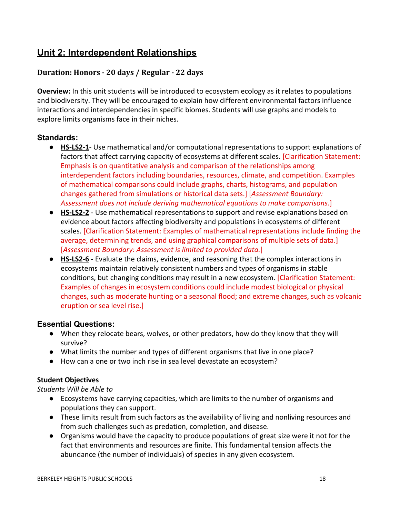# **Unit 2: Interdependent Relationships**

## **Duration: Honors - 20 days / Regular - 22 days**

**Overview:** In this unit students will be introduced to ecosystem ecology as it relates to populations and biodiversity. They will be encouraged to explain how different environmental factors influence interactions and interdependencies in specific biomes. Students will use graphs and models to explore limits organisms face in their niches.

### **Standards:**

- **HS-LS2-1** Use mathematical and/or computational representations to support explanations of factors that affect carrying capacity of ecosystems at different scales. [Clarification Statement: Emphasis is on quantitative analysis and comparison of the relationships among interdependent factors including boundaries, resources, climate, and competition. Examples of mathematical comparisons could include graphs, charts, histograms, and population changes gathered from simulations or historical data sets.] [*Assessment Boundary: Assessment does not include deriving mathematical equations to make comparisons.*]
- **HS-LS2-2** Use mathematical representations to support and revise explanations based on evidence about factors affecting biodiversity and populations in ecosystems of different scales. [Clarification Statement: Examples of mathematical representations include finding the average, determining trends, and using graphical comparisons of multiple sets of data.] [*Assessment Boundary: Assessment is limited to provided data.*]
- **HS-LS2-6** Evaluate the claims, evidence, and reasoning that the complex interactions in ecosystems maintain relatively consistent numbers and types of organisms in stable conditions, but changing conditions may result in a new ecosystem. [Clarification Statement: Examples of changes in ecosystem conditions could include modest biological or physical changes, such as moderate hunting or a seasonal flood; and extreme changes, such as volcanic eruption or sea level rise.]

### **Essential Questions:**

- When they relocate bears, wolves, or other predators, how do they know that they will survive?
- What limits the number and types of different organisms that live in one place?
- How can a one or two inch rise in sea level devastate an ecosystem?

#### **Student Objectives**

### … *Students Will be Able to*

- Ecosystems have carrying capacities, which are limits to the number of organisms and populations they can support.
- These limits result from such factors as the availability of living and nonliving resources and from such challenges such as predation, completion, and disease.
- Organisms would have the capacity to produce populations of great size were it not for the fact that environments and resources are finite. This fundamental tension affects the abundance (the number of individuals) of species in any given ecosystem.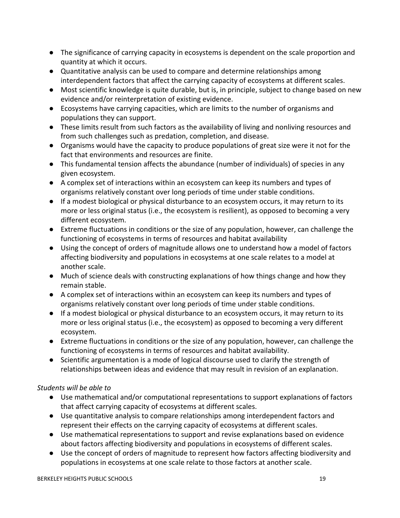- The significance of carrying capacity in ecosystems is dependent on the scale proportion and quantity at which it occurs.
- Quantitative analysis can be used to compare and determine relationships among interdependent factors that affect the carrying capacity of ecosystems at different scales.
- Most scientific knowledge is quite durable, but is, in principle, subject to change based on new evidence and/or reinterpretation of existing evidence.
- Ecosystems have carrying capacities, which are limits to the number of organisms and populations they can support.
- These limits result from such factors as the availability of living and nonliving resources and from such challenges such as predation, completion, and disease.
- Organisms would have the capacity to produce populations of great size were it not for the fact that environments and resources are finite.
- This fundamental tension affects the abundance (number of individuals) of species in any given ecosystem.
- A complex set of interactions within an ecosystem can keep its numbers and types of organisms relatively constant over long periods of time under stable conditions.
- If a modest biological or physical disturbance to an ecosystem occurs, it may return to its more or less original status (i.e., the ecosystem is resilient), as opposed to becoming a very different ecosystem.
- Extreme fluctuations in conditions or the size of any population, however, can challenge the functioning of ecosystems in terms of resources and habitat availability
- Using the concept of orders of magnitude allows one to understand how a model of factors affecting biodiversity and populations in ecosystems at one scale relates to a model at another scale.
- Much of science deals with constructing explanations of how things change and how they remain stable.
- A complex set of interactions within an ecosystem can keep its numbers and types of organisms relatively constant over long periods of time under stable conditions.
- If a modest biological or physical disturbance to an ecosystem occurs, it may return to its more or less original status (i.e., the ecosystem) as opposed to becoming a very different ecosystem.
- Extreme fluctuations in conditions or the size of any population, however, can challenge the functioning of ecosystems in terms of resources and habitat availability.
- Scientific argumentation is a mode of logical discourse used to clarify the strength of relationships between ideas and evidence that may result in revision of an explanation.

## … *Students will be able to*

- Use mathematical and/or computational representations to support explanations of factors that affect carrying capacity of ecosystems at different scales.
- Use quantitative analysis to compare relationships among interdependent factors and represent their effects on the carrying capacity of ecosystems at different scales.
- Use mathematical representations to support and revise explanations based on evidence about factors affecting biodiversity and populations in ecosystems of different scales.
- Use the concept of orders of magnitude to represent how factors affecting biodiversity and populations in ecosystems at one scale relate to those factors at another scale.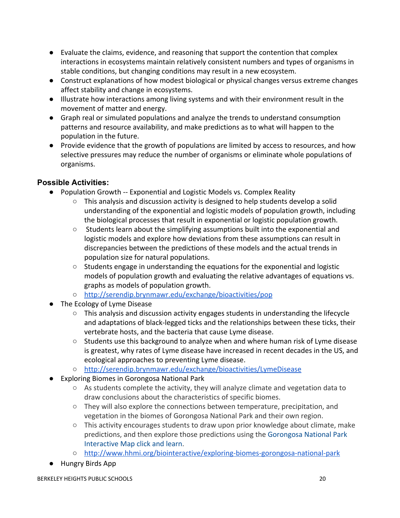- Evaluate the claims, evidence, and reasoning that support the contention that complex interactions in ecosystems maintain relatively consistent numbers and types of organisms in stable conditions, but changing conditions may result in a new ecosystem.
- Construct explanations of how modest biological or physical changes versus extreme changes affect stability and change in ecosystems.
- Illustrate how interactions among living systems and with their environment result in the movement of matter and energy.
- Graph real or simulated populations and analyze the trends to understand consumption patterns and resource availability, and make predictions as to what will happen to the population in the future.
- Provide evidence that the growth of populations are limited by access to resources, and how selective pressures may reduce the number of organisms or eliminate whole populations of organisms.

# **Possible Activities:**

- Population Growth -- Exponential and Logistic Models vs. Complex Reality
	- This analysis and discussion activity is designed to help students develop a solid understanding of the exponential and logistic models of population growth, including the biological processes that result in exponential or logistic population growth.
	- Students learn about the simplifying assumptions built into the exponential and logistic models and explore how deviations from these assumptions can result in discrepancies between the predictions of these models and the actual trends in population size for natural populations.
	- Students engage in understanding the equations for the exponential and logistic models of population growth and evaluating the relative advantages of equations vs. graphs as models of population growth.
	- <http://serendip.brynmawr.edu/exchange/bioactivities/pop>
- The Ecology of Lyme Disease
	- This analysis and discussion activity engages students in understanding the lifecycle and adaptations of black-legged ticks and the relationships between these ticks, their vertebrate hosts, and the bacteria that cause Lyme disease.
	- Students use this background to analyze when and where human risk of Lyme disease is greatest, why rates of Lyme disease have increased in recent decades in the US, and ecological approaches to preventing Lyme disease.
	- <http://serendip.brynmawr.edu/exchange/bioactivities/LymeDisease>
- Exploring Biomes in Gorongosa National Park
	- $\circ$  As students complete the activity, they will analyze climate and vegetation data to draw conclusions about the characteristics of specific biomes.
	- They will also explore the connections between temperature, precipitation, and vegetation in the biomes of Gorongosa National Park and their own region.
	- This activity encourages students to draw upon prior knowledge about climate, make predictions, and then explore those predictions using the [Gorongosa National Park](http://www.hhmi.org/biointeractive/gorongosa-national-park-interactive-map) [Interactive Map click and learn.](http://www.hhmi.org/biointeractive/gorongosa-national-park-interactive-map)
	- <http://www.hhmi.org/biointeractive/exploring-biomes-gorongosa-national-park>
- Hungry Birds App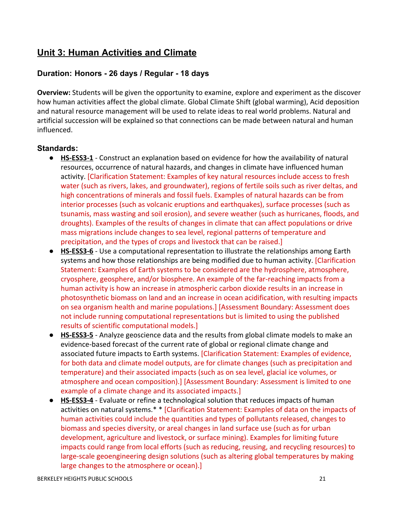# **Unit 3: Human Activities and Climate**

## **Duration: Honors - 26 days / Regular - 18 days**

**Overview:** Students will be given the opportunity to examine, explore and experiment as the discover how human activities affect the global climate. Global Climate Shift (global warming), Acid deposition and natural resource management will be used to relate ideas to real world problems. Natural and artificial succession will be explained so that connections can be made between natural and human influenced.

#### **Standards:**

- **HS-ESS3-1** Construct an explanation based on evidence for how the availability of natural resources, occurrence of natural hazards, and changes in climate have influenced human activity. [Clarification Statement: Examples of key natural resources include access to fresh water (such as rivers, lakes, and groundwater), regions of fertile soils such as river deltas, and high concentrations of minerals and fossil fuels. Examples of natural hazards can be from interior processes (such as volcanic eruptions and earthquakes), surface processes (such as tsunamis, mass wasting and soil erosion), and severe weather (such as hurricanes, floods, and droughts). Examples of the results of changes in climate that can affect populations or drive mass migrations include changes to sea level, regional patterns of temperature and precipitation, and the types of crops and livestock that can be raised.]
- **HS-ESS3-6** Use a computational representation to illustrate the relationships among Earth systems and how those relationships are being modified due to human activity. [Clarification Statement: Examples of Earth systems to be considered are the hydrosphere, atmosphere, cryosphere, geosphere, and/or biosphere. An example of the far-reaching impacts from a human activity is how an increase in atmospheric carbon dioxide results in an increase in photosynthetic biomass on land and an increase in ocean acidification, with resulting impacts on sea organism health and marine populations.] [Assessment Boundary: Assessment does not include running computational representations but is limited to using the published results of scientific computational models.]
- **HS-ESS3-5** Analyze geoscience data and the results from global climate models to make an evidence-based forecast of the current rate of global or regional climate change and associated future impacts to Earth systems. [Clarification Statement: Examples of evidence, for both data and climate model outputs, are for climate changes (such as precipitation and temperature) and their associated impacts (such as on sea level, glacial ice volumes, or atmosphere and ocean composition).] [Assessment Boundary: Assessment is limited to one example of a climate change and its associated impacts.]
- **HS-ESS3-4** Evaluate or refine a technological solution that reduces impacts of human activities on natural systems.\* \* [Clarification Statement: Examples of data on the impacts of human activities could include the quantities and types of pollutants released, changes to biomass and species diversity, or areal changes in land surface use (such as for urban development, agriculture and livestock, or surface mining). Examples for limiting future impacts could range from local efforts (such as reducing, reusing, and recycling resources) to large-scale geoengineering design solutions (such as altering global temperatures by making large changes to the atmosphere or ocean).]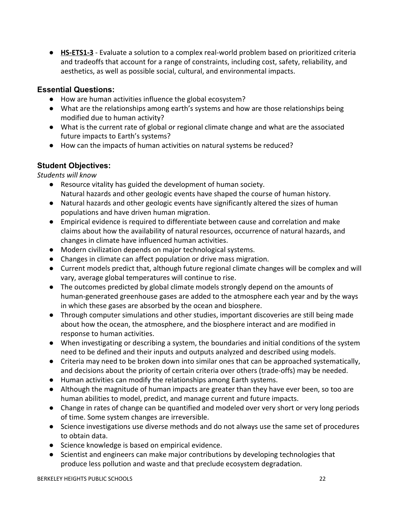● **HS-ETS1-3** - Evaluate a solution to a complex real-world problem based on prioritized criteria and tradeoffs that account for a range of constraints, including cost, safety, reliability, and aesthetics, as well as possible social, cultural, and environmental impacts.

## **Essential Questions:**

- How are human activities influence the global ecosystem?
- What are the relationships among earth's systems and how are those relationships being modified due to human activity?
- What is the current rate of global or regional climate change and what are the associated future impacts to Earth's systems?
- How can the impacts of human activities on natural systems be reduced?

## **Student Objectives:**

… *Students will know*

- Resource vitality has guided the development of human society. Natural hazards and other geologic events have shaped the course of human history.
- Natural hazards and other geologic events have significantly altered the sizes of human populations and have driven human migration.
- Empirical evidence is required to differentiate between cause and correlation and make claims about how the availability of natural resources, occurrence of natural hazards, and changes in climate have influenced human activities.
- Modern civilization depends on major technological systems.
- Changes in climate can affect population or drive mass migration.
- Current models predict that, although future regional climate changes will be complex and will vary, average global temperatures will continue to rise.
- The outcomes predicted by global climate models strongly depend on the amounts of human-generated greenhouse gases are added to the atmosphere each year and by the ways in which these gases are absorbed by the ocean and biosphere.
- Through computer simulations and other studies, important discoveries are still being made about how the ocean, the atmosphere, and the biosphere interact and are modified in response to human activities.
- When investigating or describing a system, the boundaries and initial conditions of the system need to be defined and their inputs and outputs analyzed and described using models.
- Criteria may need to be broken down into similar ones that can be approached systematically, and decisions about the priority of certain criteria over others (trade-offs) may be needed.
- Human activities can modify the relationships among Earth systems.
- Although the magnitude of human impacts are greater than they have ever been, so too are human abilities to model, predict, and manage current and future impacts.
- Change in rates of change can be quantified and modeled over very short or very long periods of time. Some system changes are irreversible.
- Science investigations use diverse methods and do not always use the same set of procedures to obtain data.
- Science knowledge is based on empirical evidence.
- Scientist and engineers can make major contributions by developing technologies that produce less pollution and waste and that preclude ecosystem degradation.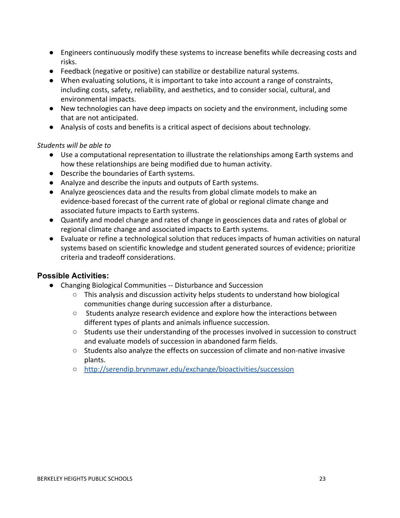- Engineers continuously modify these systems to increase benefits while decreasing costs and risks.
- Feedback (negative or positive) can stabilize or destabilize natural systems.
- When evaluating solutions, it is important to take into account a range of constraints, including costs, safety, reliability, and aesthetics, and to consider social, cultural, and environmental impacts.
- New technologies can have deep impacts on society and the environment, including some that are not anticipated.
- Analysis of costs and benefits is a critical aspect of decisions about technology.

#### … *Students will be able to*

- Use a computational representation to illustrate the relationships among Earth systems and how these relationships are being modified due to human activity.
- Describe the boundaries of Earth systems.
- Analyze and describe the inputs and outputs of Earth systems.
- Analyze geosciences data and the results from global climate models to make an evidence-based forecast of the current rate of global or regional climate change and associated future impacts to Earth systems.
- Quantify and model change and rates of change in geosciences data and rates of global or regional climate change and associated impacts to Earth systems.
- Evaluate or refine a technological solution that reduces impacts of human activities on natural systems based on scientific knowledge and student generated sources of evidence; prioritize criteria and tradeoff considerations.

#### **Possible Activities:**

- Changing Biological Communities -- Disturbance and Succession
	- This analysis and discussion activity helps students to understand how biological communities change during succession after a disturbance.
	- Students analyze research evidence and explore how the interactions between different types of plants and animals influence succession.
	- Students use their understanding of the processes involved in succession to construct and evaluate models of succession in abandoned farm fields.
	- Students also analyze the effects on succession of climate and non-native invasive plants.
	- <http://serendip.brynmawr.edu/exchange/bioactivities/succession>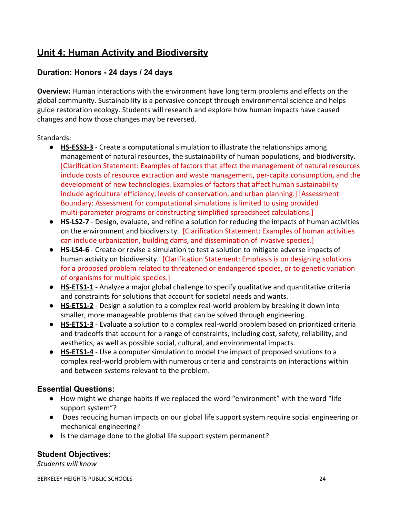# **Unit 4: Human Activity and Biodiversity**

# **Duration: Honors - 24 days / 24 days**

**Overview:** Human interactions with the environment have long term problems and effects on the global community. Sustainability is a pervasive concept through environmental science and helps guide restoration ecology. Students will research and explore how human impacts have caused changes and how those changes may be reversed.

Standards:

- **HS-ESS3-3** Create a computational simulation to illustrate the relationships among management of natural resources, the sustainability of human populations, and biodiversity. [Clarification Statement: Examples of factors that affect the management of natural resources include costs of resource extraction and waste management, per-capita consumption, and the development of new technologies. Examples of factors that affect human sustainability include agricultural efficiency, levels of conservation, and urban planning.] [Assessment Boundary: Assessment for computational simulations is limited to using provided multi-parameter programs or constructing simplified spreadsheet calculations.]
- **HS-LS2-7** Design, evaluate, and refine a solution for reducing the impacts of human activities on the environment and biodiversity. [Clarification Statement: Examples of human activities can include urbanization, building dams, and dissemination of invasive species.]
- **HS-LS4-6** Create or revise a simulation to test a solution to mitigate adverse impacts of human activity on biodiversity. [Clarification Statement: Emphasis is on designing solutions for a proposed problem related to threatened or endangered species, or to genetic variation of organisms for multiple species.]
- **HS-ETS1-1** Analyze a major global challenge to specify qualitative and quantitative criteria and constraints for solutions that account for societal needs and wants.
- **HS-ETS1-2** Design a solution to a complex real-world problem by breaking it down into smaller, more manageable problems that can be solved through engineering.
- **HS-ETS1-3** Evaluate a solution to a complex real-world problem based on prioritized criteria and tradeoffs that account for a range of constraints, including cost, safety, reliability, and aesthetics, as well as possible social, cultural, and environmental impacts.
- **HS-ETS1-4** Use a computer simulation to model the impact of proposed solutions to a complex real-world problem with numerous criteria and constraints on interactions within and between systems relevant to the problem.

## **Essential Questions:**

- How might we change habits if we replaced the word "environment" with the word "life support system"?
- Does reducing human impacts on our global life support system require social engineering or mechanical engineering?
- Is the damage done to the global life support system permanent?

## **Student Objectives:**

… *Students will know*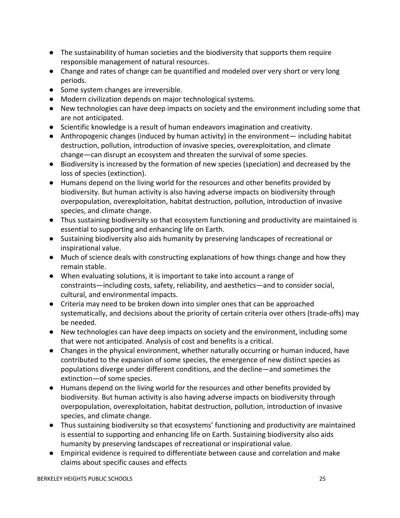- The sustainability of human societies and the biodiversity that supports them require responsible management of natural resources.
- Change and rates of change can be quantified and modeled over very short or very long periods.
- Some system changes are irreversible.
- Modern civilization depends on major technological systems.
- New technologies can have deep impacts on society and the environment including some that are not anticipated.
- Scientific knowledge is a result of human endeavors imagination and creativity.
- Anthropogenic changes (induced by human activity) in the environment— including habitat destruction, pollution, introduction of invasive species, overexploitation, and climate change—can disrupt an ecosystem and threaten the survival of some species.
- Biodiversity is increased by the formation of new species (speciation) and decreased by the loss of species (extinction).
- Humans depend on the living world for the resources and other benefits provided by biodiversity. But human activity is also having adverse impacts on biodiversity through overpopulation, overexploitation, habitat destruction, pollution, introduction of invasive species, and climate change.
- Thus sustaining biodiversity so that ecosystem functioning and productivity are maintained is essential to supporting and enhancing life on Earth.
- Sustaining biodiversity also aids humanity by preserving landscapes of recreational or inspirational value.
- Much of science deals with constructing explanations of how things change and how they remain stable.
- When evaluating solutions, it is important to take into account a range of constraints—including costs, safety, reliability, and aesthetics—and to consider social, cultural, and environmental impacts.
- Criteria may need to be broken down into simpler ones that can be approached systematically, and decisions about the priority of certain criteria over others (trade-offs) may be needed.
- New technologies can have deep impacts on society and the environment, including some that were not anticipated. Analysis of cost and benefits is a critical.
- Changes in the physical environment, whether naturally occurring or human induced, have contributed to the expansion of some species, the emergence of new distinct species as populations diverge under different conditions, and the decline—and sometimes the extinction—of some species.
- Humans depend on the living world for the resources and other benefits provided by biodiversity. But human activity is also having adverse impacts on biodiversity through overpopulation, overexploitation, habitat destruction, pollution, introduction of invasive species, and climate change.
- Thus sustaining biodiversity so that ecosystems' functioning and productivity are maintained is essential to supporting and enhancing life on Earth. Sustaining biodiversity also aids humanity by preserving landscapes of recreational or inspirational value.
- Empirical evidence is required to differentiate between cause and correlation and make claims about specific causes and effects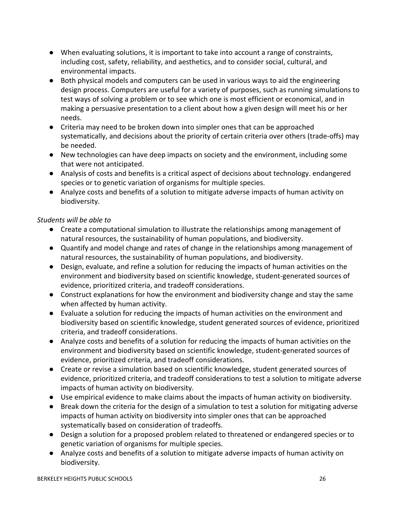- When evaluating solutions, it is important to take into account a range of constraints, including cost, safety, reliability, and aesthetics, and to consider social, cultural, and environmental impacts.
- Both physical models and computers can be used in various ways to aid the engineering design process. Computers are useful for a variety of purposes, such as running simulations to test ways of solving a problem or to see which one is most efficient or economical, and in making a persuasive presentation to a client about how a given design will meet his or her needs.
- Criteria may need to be broken down into simpler ones that can be approached systematically, and decisions about the priority of certain criteria over others (trade-offs) may be needed.
- New technologies can have deep impacts on society and the environment, including some that were not anticipated.
- Analysis of costs and benefits is a critical aspect of decisions about technology. endangered species or to genetic variation of organisms for multiple species.
- Analyze costs and benefits of a solution to mitigate adverse impacts of human activity on biodiversity.

## … *Students will be able to*

- Create a computational simulation to illustrate the relationships among management of natural resources, the sustainability of human populations, and biodiversity.
- Quantify and model change and rates of change in the relationships among management of natural resources, the sustainability of human populations, and biodiversity.
- Design, evaluate, and refine a solution for reducing the impacts of human activities on the environment and biodiversity based on scientific knowledge, student-generated sources of evidence, prioritized criteria, and tradeoff considerations.
- Construct explanations for how the environment and biodiversity change and stay the same when affected by human activity.
- Evaluate a solution for reducing the impacts of human activities on the environment and biodiversity based on scientific knowledge, student generated sources of evidence, prioritized criteria, and tradeoff considerations.
- Analyze costs and benefits of a solution for reducing the impacts of human activities on the environment and biodiversity based on scientific knowledge, student-generated sources of evidence, prioritized criteria, and tradeoff considerations.
- Create or revise a simulation based on scientific knowledge, student generated sources of evidence, prioritized criteria, and tradeoff considerations to test a solution to mitigate adverse impacts of human activity on biodiversity.
- Use empirical evidence to make claims about the impacts of human activity on biodiversity.
- Break down the criteria for the design of a simulation to test a solution for mitigating adverse impacts of human activity on biodiversity into simpler ones that can be approached systematically based on consideration of tradeoffs.
- Design a solution for a proposed problem related to threatened or endangered species or to genetic variation of organisms for multiple species.
- Analyze costs and benefits of a solution to mitigate adverse impacts of human activity on biodiversity.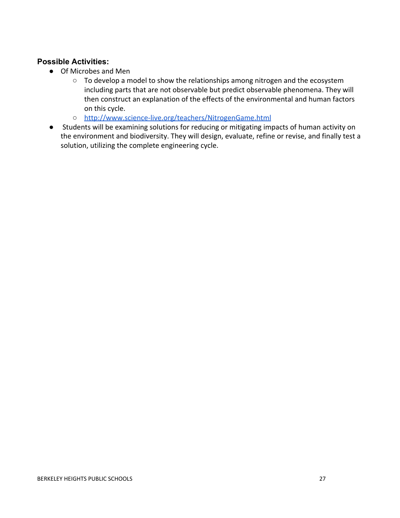### **Possible Activities:**

- Of Microbes and Men
	- To develop a model to show the relationships among nitrogen and the ecosystem including parts that are not observable but predict observable phenomena. They will then construct an explanation of the effects of the environmental and human factors on this cycle.
	- <http://www.science-live.org/teachers/NitrogenGame.html>
- Students will be examining solutions for reducing or mitigating impacts of human activity on the environment and biodiversity. They will design, evaluate, refine or revise, and finally test a solution, utilizing the complete engineering cycle.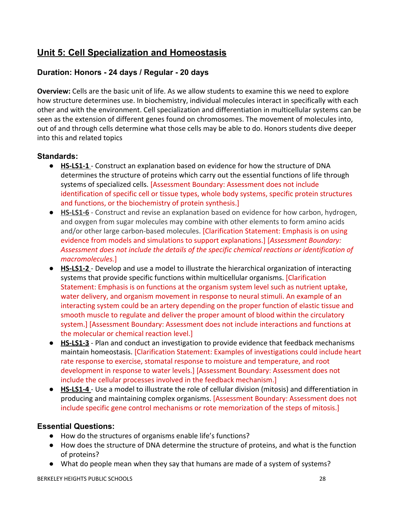# **Unit 5: Cell Specialization and Homeostasis**

## **Duration: Honors - 24 days / Regular - 20 days**

**Overview:** Cells are the basic unit of life. As we allow students to examine this we need to explore how structure determines use. In biochemistry, individual molecules interact in specifically with each other and with the environment. Cell specialization and differentiation in multicellular systems can be seen as the extension of different genes found on chromosomes. The movement of molecules into, out of and through cells determine what those cells may be able to do. Honors students dive deeper into this and related topics

## **Standards:**

- **HS-LS1-1** Construct an explanation based on evidence for how the structure of DNA determines the structure of proteins which carry out the essential functions of life through systems of specialized cells. [Assessment Boundary: Assessment does not include identification of specific cell or tissue types, whole body systems, specific protein structures and functions, or the biochemistry of protein synthesis.]
- **HS-LS1-6** Construct and revise an explanation based on evidence for how carbon, hydrogen, and oxygen from sugar molecules may combine with other elements to form amino acids and/or other large carbon-based molecules. [Clarification Statement: Emphasis is on using evidence from models and simulations to support explanations.] [*Assessment Boundary: Assessment does not include the details of the specific chemical reactions or identification of macromolecules.*]
- **HS-LS1-2** Develop and use a model to illustrate the hierarchical organization of interacting systems that provide specific functions within multicellular organisms. [Clarification Statement: Emphasis is on functions at the organism system level such as nutrient uptake, water delivery, and organism movement in response to neural stimuli. An example of an interacting system could be an artery depending on the proper function of elastic tissue and smooth muscle to regulate and deliver the proper amount of blood within the circulatory system.] [Assessment Boundary: Assessment does not include interactions and functions at the molecular or chemical reaction level.]
- **HS-LS1-3** Plan and conduct an investigation to provide evidence that feedback mechanisms maintain homeostasis. [Clarification Statement: Examples of investigations could include heart rate response to exercise, stomatal response to moisture and temperature, and root development in response to water levels.] [Assessment Boundary: Assessment does not include the cellular processes involved in the feedback mechanism.]
- **HS-LS1-4** Use a model to illustrate the role of cellular division (mitosis) and differentiation in producing and maintaining complex organisms. [Assessment Boundary: Assessment does not include specific gene control mechanisms or rote memorization of the steps of mitosis.]

## **Essential Questions:**

- How do the structures of organisms enable life's functions?
- How does the structure of DNA determine the structure of proteins, and what is the function of proteins?
- What do people mean when they say that humans are made of a system of systems?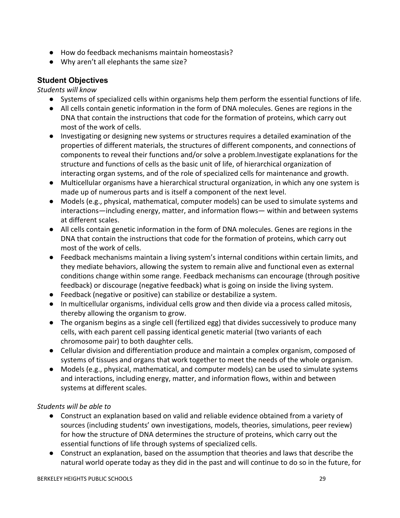- How do feedback mechanisms maintain homeostasis?
- Why aren't all elephants the same size?

# **Student Objectives**

… *Students will know*

- Systems of specialized cells within organisms help them perform the essential functions of life.
- All cells contain genetic information in the form of DNA molecules. Genes are regions in the DNA that contain the instructions that code for the formation of proteins, which carry out most of the work of cells.
- Investigating or designing new systems or structures requires a detailed examination of the properties of different materials, the structures of different components, and connections of components to reveal their functions and/or solve a problem.Investigate explanations for the structure and functions of cells as the basic unit of life, of hierarchical organization of interacting organ systems, and of the role of specialized cells for maintenance and growth.
- Multicellular organisms have a hierarchical structural organization, in which any one system is made up of numerous parts and is itself a component of the next level.
- Models (e.g., physical, mathematical, computer models) can be used to simulate systems and interactions—including energy, matter, and information flows— within and between systems at different scales.
- All cells contain genetic information in the form of DNA molecules. Genes are regions in the DNA that contain the instructions that code for the formation of proteins, which carry out most of the work of cells.
- Feedback mechanisms maintain a living system's internal conditions within certain limits, and they mediate behaviors, allowing the system to remain alive and functional even as external conditions change within some range. Feedback mechanisms can encourage (through positive feedback) or discourage (negative feedback) what is going on inside the living system.
- Feedback (negative or positive) can stabilize or destabilize a system.
- In multicellular organisms, individual cells grow and then divide via a process called mitosis, thereby allowing the organism to grow.
- The organism begins as a single cell (fertilized egg) that divides successively to produce many cells, with each parent cell passing identical genetic material (two variants of each chromosome pair) to both daughter cells.
- Cellular division and differentiation produce and maintain a complex organism, composed of systems of tissues and organs that work together to meet the needs of the whole organism.
- Models (e.g., physical, mathematical, and computer models) can be used to simulate systems and interactions, including energy, matter, and information flows, within and between systems at different scales.

## … *Students will be able to*

- Construct an explanation based on valid and reliable evidence obtained from a variety of sources (including students' own investigations, models, theories, simulations, peer review) for how the structure of DNA determines the structure of proteins, which carry out the essential functions of life through systems of specialized cells.
- Construct an explanation, based on the assumption that theories and laws that describe the natural world operate today as they did in the past and will continue to do so in the future, for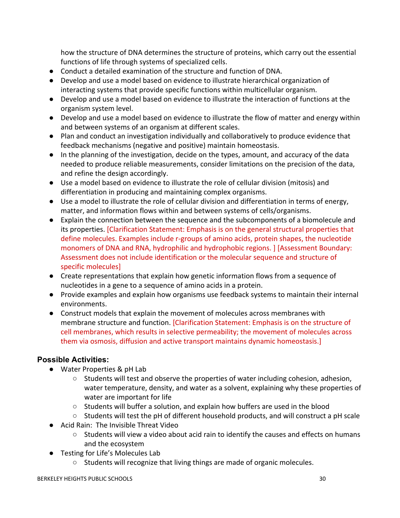how the structure of DNA determines the structure of proteins, which carry out the essential functions of life through systems of specialized cells.

- Conduct a detailed examination of the structure and function of DNA.
- Develop and use a model based on evidence to illustrate hierarchical organization of interacting systems that provide specific functions within multicellular organism.
- Develop and use a model based on evidence to illustrate the interaction of functions at the organism system level.
- Develop and use a model based on evidence to illustrate the flow of matter and energy within and between systems of an organism at different scales.
- Plan and conduct an investigation individually and collaboratively to produce evidence that feedback mechanisms (negative and positive) maintain homeostasis.
- In the planning of the investigation, decide on the types, amount, and accuracy of the data needed to produce reliable measurements, consider limitations on the precision of the data, and refine the design accordingly.
- Use a model based on evidence to illustrate the role of cellular division (mitosis) and differentiation in producing and maintaining complex organisms.
- Use a model to illustrate the role of cellular division and differentiation in terms of energy, matter, and information flows within and between systems of cells/organisms.
- Explain the connection between the sequence and the subcomponents of a biomolecule and its properties. [Clarification Statement: Emphasis is on the general structural properties that define molecules. Examples include r-groups of amino acids, protein shapes, the nucleotide monomers of DNA and RNA, hydrophilic and hydrophobic regions. ] [Assessment Boundary: Assessment does not include identification or the molecular sequence and structure of specific molecules]
- Create representations that explain how genetic information flows from a sequence of nucleotides in a gene to a sequence of amino acids in a protein.
- Provide examples and explain how organisms use feedback systems to maintain their internal environments.
- Construct models that explain the movement of molecules across membranes with membrane structure and function. [Clarification Statement: Emphasis is on the structure of cell membranes, which results in selective permeability; the movement of molecules across them via osmosis, diffusion and active transport maintains dynamic homeostasis.]

## **Possible Activities:**

- Water Properties & pH Lab
	- Students will test and observe the properties of water including cohesion, adhesion, water temperature, density, and water as a solvent, explaining why these properties of water are important for life
	- Students will buffer a solution, and explain how buffers are used in the blood
	- Students will test the pH of different household products, and will construct a pH scale
- Acid Rain: The Invisible Threat Video
	- $\circ$  Students will view a video about acid rain to identify the causes and effects on humans and the ecosystem
- Testing for Life's Molecules Lab
	- Students will recognize that living things are made of organic molecules.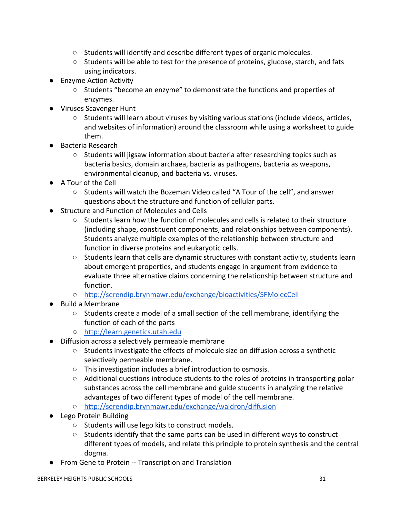- Students will identify and describe different types of organic molecules.
- Students will be able to test for the presence of proteins, glucose, starch, and fats using indicators.
- Enzyme Action Activity
	- Students "become an enzyme" to demonstrate the functions and properties of enzymes.
- Viruses Scavenger Hunt
	- Students will learn about viruses by visiting various stations (include videos, articles, and websites of information) around the classroom while using a worksheet to guide them.
- Bacteria Research
	- Students will jigsaw information about bacteria after researching topics such as bacteria basics, domain archaea, bacteria as pathogens, bacteria as weapons, environmental cleanup, and bacteria vs. viruses.
- A Tour of the Cell
	- Students will watch the Bozeman Video called "A Tour of the cell", and answer questions about the structure and function of cellular parts.
- Structure and Function of Molecules and Cells
	- $\circ$  Students learn how the function of molecules and cells is related to their structure (including shape, constituent components, and relationships between components). Students analyze multiple examples of the relationship between structure and function in diverse proteins and eukaryotic cells.
	- Students learn that cells are dynamic structures with constant activity, students learn about emergent properties, and students engage in argument from evidence to evaluate three alternative claims concerning the relationship between structure and function.
	- <http://serendip.brynmawr.edu/exchange/bioactivities/SFMolecCell>
- Build a Membrane
	- Students create a model of a small section of the cell membrane, identifying the function of each of the parts
	- [http://learn.genetics.utah.edu](http://learn.genetics.utah.edu/)
- Diffusion across a selectively permeable membrane
	- $\circ$  Students investigate the effects of molecule size on diffusion across a synthetic selectively permeable membrane.
	- This investigation includes a brief introduction to osmosis.
	- Additional questions introduce students to the roles of proteins in transporting polar substances across the cell membrane and guide students in analyzing the relative advantages of two different types of model of the cell membrane.
	- <http://serendip.brynmawr.edu/exchange/waldron/diffusion>
- Lego Protein Building
	- Students will use lego kits to construct models.
	- $\circ$  Students identify that the same parts can be used in different ways to construct different types of models, and relate this principle to protein synthesis and the central dogma.
- From Gene to Protein -- Transcription and Translation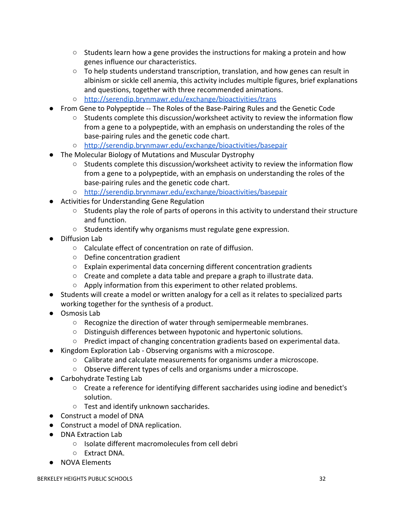- $\circ$  Students learn how a gene provides the instructions for making a protein and how genes influence our characteristics.
- $\circ$  To help students understand transcription, translation, and how genes can result in albinism or sickle cell anemia, this activity includes multiple figures, brief explanations and questions, together with three recommended animations.
- <http://serendip.brynmawr.edu/exchange/bioactivities/trans>
- From Gene to Polypeptide -- The Roles of the Base-Pairing Rules and the Genetic Code
	- Students complete this discussion/worksheet activity to review the information flow from a gene to a polypeptide, with an emphasis on understanding the roles of the base-pairing rules and the genetic code chart.
	- <http://serendip.brynmawr.edu/exchange/bioactivities/basepair>
- The Molecular Biology of Mutations and Muscular Dystrophy
	- Students complete this discussion/worksheet activity to review the information flow from a gene to a polypeptide, with an emphasis on understanding the roles of the base-pairing rules and the genetic code chart.
	- <http://serendip.brynmawr.edu/exchange/bioactivities/basepair>
- Activities for Understanding Gene Regulation
	- Students play the role of parts of operons in this activity to understand their structure and function.
	- Students identify why organisms must regulate gene expression.
- Diffusion Lab
	- Calculate effect of concentration on rate of diffusion.
	- Define concentration gradient
	- Explain experimental data concerning different concentration gradients
	- Create and complete a data table and prepare a graph to illustrate data.
	- Apply information from this experiment to other related problems.
- Students will create a model or written analogy for a cell as it relates to specialized parts working together for the synthesis of a product.
- Osmosis Lab
	- Recognize the direction of water through semipermeable membranes.
	- Distinguish differences between hypotonic and hypertonic solutions.
	- Predict impact of changing concentration gradients based on experimental data.
- Kingdom Exploration Lab Observing organisms with a microscope.
	- Calibrate and calculate measurements for organisms under a microscope.
	- Observe different types of cells and organisms under a microscope.
- Carbohydrate Testing Lab
	- Create a reference for identifying different saccharides using iodine and benedict's solution.
	- Test and identify unknown saccharides.
- Construct a model of DNA
- Construct a model of DNA replication.
- DNA Extraction Lab
	- Isolate different macromolecules from cell debri
	- Extract DNA.
- NOVA Elements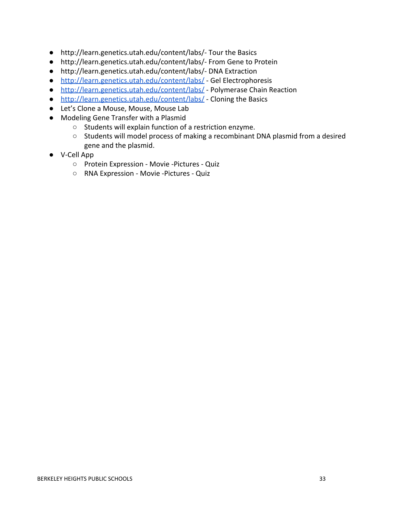- http://learn.genetics.utah.edu/content/labs/- Tour the Basics
- http://learn.genetics.utah.edu/content/labs/- From Gene to Protein
- http://learn.genetics.utah.edu/content/labs/- DNA Extraction
- <http://learn.genetics.utah.edu/content/labs/> Gel Electrophoresis
- <http://learn.genetics.utah.edu/content/labs/> Polymerase Chain Reaction
- <http://learn.genetics.utah.edu/content/labs/> Cloning the Basics
- Let's Clone a Mouse, Mouse, Mouse Lab
- Modeling Gene Transfer with a Plasmid
	- Students will explain function of a restriction enzyme.
	- Students will model process of making a recombinant DNA plasmid from a desired gene and the plasmid.
- V-Cell App
	- Protein Expression Movie -Pictures Quiz
	- RNA Expression Movie -Pictures Quiz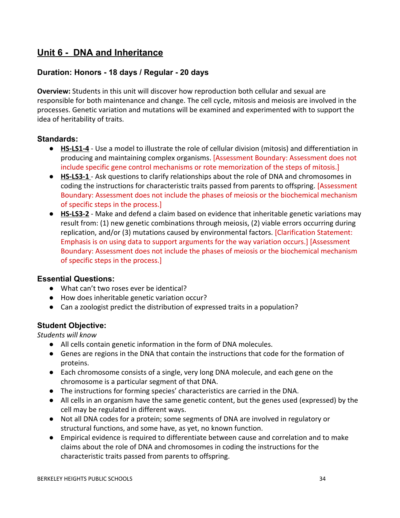# **Unit 6 - DNA and Inheritance**

## **Duration: Honors - 18 days / Regular - 20 days**

**Overview:** Students in this unit will discover how reproduction both cellular and sexual are responsible for both maintenance and change. The cell cycle, mitosis and meiosis are involved in the processes. Genetic variation and mutations will be examined and experimented with to support the idea of heritability of traits.

### **Standards:**

- **HS-LS1-4** Use a model to illustrate the role of cellular division (mitosis) and differentiation in producing and maintaining complex organisms. [Assessment Boundary: Assessment does not include specific gene control mechanisms or rote memorization of the steps of mitosis.]
- **HS-LS3-1**  Ask questions to clarify relationships about the role of DNA and chromosomes in coding the instructions for characteristic traits passed from parents to offspring. [Assessment Boundary: Assessment does not include the phases of meiosis or the biochemical mechanism of specific steps in the process.]
- **HS-LS3-2** Make and defend a claim based on evidence that inheritable genetic variations may result from: (1) new genetic combinations through meiosis, (2) viable errors occurring during replication, and/or (3) mutations caused by environmental factors. [Clarification Statement: Emphasis is on using data to support arguments for the way variation occurs.] [Assessment Boundary: Assessment does not include the phases of meiosis or the biochemical mechanism of specific steps in the process.]

### **Essential Questions:**

- What can't two roses ever be identical?
- How does inheritable genetic variation occur?
- Can a zoologist predict the distribution of expressed traits in a population?

### **Student Objective:**

… *Students will know*

- All cells contain genetic information in the form of DNA molecules.
- Genes are regions in the DNA that contain the instructions that code for the formation of proteins.
- Each chromosome consists of a single, very long DNA molecule, and each gene on the chromosome is a particular segment of that DNA.
- The instructions for forming species' characteristics are carried in the DNA.
- All cells in an organism have the same genetic content, but the genes used (expressed) by the cell may be regulated in different ways.
- Not all DNA codes for a protein; some segments of DNA are involved in regulatory or structural functions, and some have, as yet, no known function.
- Empirical evidence is required to differentiate between cause and correlation and to make claims about the role of DNA and chromosomes in coding the instructions for the characteristic traits passed from parents to offspring.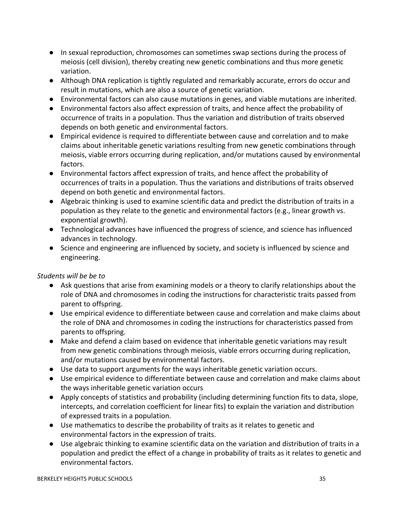- In sexual reproduction, chromosomes can sometimes swap sections during the process of meiosis (cell division), thereby creating new genetic combinations and thus more genetic variation.
- Although DNA replication is tightly regulated and remarkably accurate, errors do occur and result in mutations, which are also a source of genetic variation.
- Environmental factors can also cause mutations in genes, and viable mutations are inherited.
- Environmental factors also affect expression of traits, and hence affect the probability of occurrence of traits in a population. Thus the variation and distribution of traits observed depends on both genetic and environmental factors.
- Empirical evidence is required to differentiate between cause and correlation and to make claims about inheritable genetic variations resulting from new genetic combinations through meiosis, viable errors occurring during replication, and/or mutations caused by environmental factors.
- Environmental factors affect expression of traits, and hence affect the probability of occurrences of traits in a population. Thus the variations and distributions of traits observed depend on both genetic and environmental factors.
- Algebraic thinking is used to examine scientific data and predict the distribution of traits in a population as they relate to the genetic and environmental factors (e.g., linear growth vs. exponential growth).
- Technological advances have influenced the progress of science, and science has influenced advances in technology.
- Science and engineering are influenced by society, and society is influenced by science and engineering.

## … *Students will be be to*

- Ask questions that arise from examining models or a theory to clarify relationships about the role of DNA and chromosomes in coding the instructions for characteristic traits passed from parent to offspring.
- Use empirical evidence to differentiate between cause and correlation and make claims about the role of DNA and chromosomes in coding the instructions for characteristics passed from parents to offspring.
- Make and defend a claim based on evidence that inheritable genetic variations may result from new genetic combinations through meiosis, viable errors occurring during replication, and/or mutations caused by environmental factors.
- Use data to support arguments for the ways inheritable genetic variation occurs.
- Use empirical evidence to differentiate between cause and correlation and make claims about the ways inheritable genetic variation occurs
- Apply concepts of statistics and probability (including determining function fits to data, slope, intercepts, and correlation coefficient for linear fits) to explain the variation and distribution of expressed traits in a population.
- Use mathematics to describe the probability of traits as it relates to genetic and environmental factors in the expression of traits.
- Use algebraic thinking to examine scientific data on the variation and distribution of traits in a population and predict the effect of a change in probability of traits as it relates to genetic and environmental factors.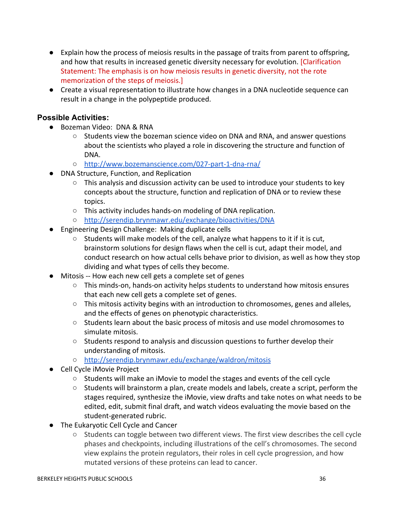- Explain how the process of meiosis results in the passage of traits from parent to offspring, and how that results in increased genetic diversity necessary for evolution. [Clarification Statement: The emphasis is on how meiosis results in genetic diversity, not the rote memorization of the steps of meiosis.]
- Create a visual representation to illustrate how changes in a DNA nucleotide sequence can result in a change in the polypeptide produced.

### **Possible Activities:**

- Bozeman Video: DNA & RNA
	- Students view the bozeman science video on DNA and RNA, and answer questions about the scientists who played a role in discovering the structure and function of DNA.
	- <http://www.bozemanscience.com/027-part-1-dna-rna/>
- DNA Structure, Function, and Replication
	- This analysis and discussion activity can be used to introduce your students to key concepts about the structure, function and replication of DNA or to review these topics.
	- This activity includes hands-on modeling of DNA replication.
	- <http://serendip.brynmawr.edu/exchange/bioactivities/DNA>
- Engineering Design Challenge: Making duplicate cells
	- $\circ$  Students will make models of the cell, analyze what happens to it if it is cut, brainstorm solutions for design flaws when the cell is cut, adapt their model, and conduct research on how actual cells behave prior to division, as well as how they stop dividing and what types of cells they become.
- Mitosis -- How each new cell gets a complete set of genes
	- This minds-on, hands-on activity helps students to understand how mitosis ensures that each new cell gets a complete set of genes.
	- This mitosis activity begins with an introduction to chromosomes, genes and alleles, and the effects of genes on phenotypic characteristics.
	- Students learn about the basic process of mitosis and use model chromosomes to simulate mitosis.
	- Students respond to analysis and discussion questions to further develop their understanding of mitosis.
	- <http://serendip.brynmawr.edu/exchange/waldron/mitosis>
- Cell Cycle iMovie Project
	- Students will make an iMovie to model the stages and events of the cell cycle
	- Students will brainstorm a plan, create models and labels, create a script, perform the stages required, synthesize the iMovie, view drafts and take notes on what needs to be edited, edit, submit final draft, and watch videos evaluating the movie based on the student-generated rubric.
- The Eukaryotic Cell Cycle and Cancer
	- Students can toggle between two different views. The first view describes the cell cycle phases and checkpoints, including illustrations of the cell's chromosomes. The second view explains the protein regulators, their roles in cell cycle progression, and how mutated versions of these proteins can lead to cancer.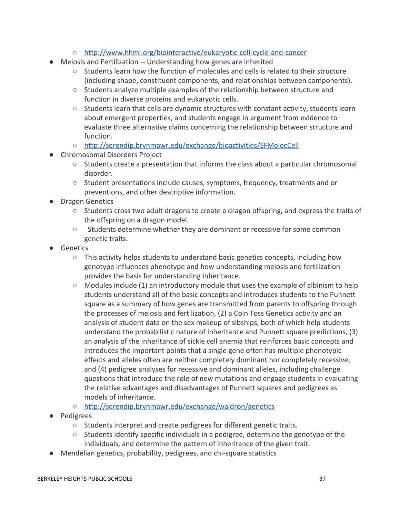- <http://www.hhmi.org/biointeractive/eukaryotic-cell-cycle-and-cancer>
- Meiosis and Fertilization -- Understanding how genes are inherited
	- Students learn how the function of molecules and cells is related to their structure (including shape, constituent components, and relationships between components).
	- Students analyze multiple examples of the relationship between structure and function in diverse proteins and eukaryotic cells.
	- Students learn that cells are dynamic structures with constant activity, students learn about emergent properties, and students engage in argument from evidence to evaluate three alternative claims concerning the relationship between structure and function.
	- <http://serendip.brynmawr.edu/exchange/bioactivities/SFMolecCell>
- Chromosomal Disorders Project
	- Students create a presentation that informs the class about a particular chromosomal disorder.
	- Student presentations include causes, symptoms, frequency, treatments and or preventions, and other descriptive information.
- Dragon Genetics
	- Students cross two adult dragons to create a dragon offspring, and express the traits of the offspring on a dragon model.
	- Students determine whether they are dominant or recessive for some common genetic traits.
- Genetics
	- This activity helps students to understand basic genetics concepts, including how genotype influences phenotype and how understanding meiosis and fertilization provides the basis for understanding inheritance.
	- $\circ$  Modules include (1) an introductory module that uses the example of albinism to help students understand all of the basic concepts and introduces students to the Punnett square as a summary of how genes are transmitted from parents to offspring through the processes of meiosis and fertilization, (2) a Coin Toss Genetics activity and an analysis of student data on the sex makeup of sibships, both of which help students understand the probabilistic nature of inheritance and Punnett square predictions, (3) an analysis of the inheritance of sickle cell anemia that reinforces basic concepts and introduces the important points that a single gene often has multiple phenotypic effects and alleles often are neither completely dominant nor completely recessive, and (4) pedigree analyses for recessive and dominant alleles, including challenge questions that introduce the role of new mutations and engage students in evaluating the relative advantages and disadvantages of Punnett squares and pedigrees as models of inheritance.
	- <http://serendip.brynmawr.edu/exchange/waldron/genetics>
- Pedigrees
	- Students interpret and create pedigrees for different genetic traits.
	- $\circ$  Students identify specific individuals in a pedigree, determine the genotype of the individuals, and determine the pattern of inheritance of the given trait.
- Mendelian genetics, probability, pedigrees, and chi-square statistics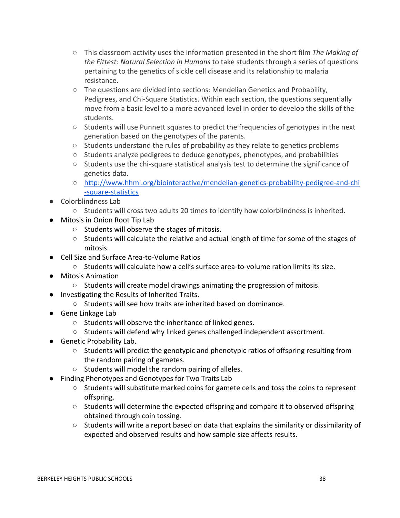- This classroom activity uses the information presented in the short film *The Making of the Fittest: Natural Selection in Humans* to take students through a series of questions pertaining to the genetics of sickle cell disease and its relationship to malaria resistance.
- The questions are divided into sections: Mendelian Genetics and Probability, Pedigrees, and Chi-Square Statistics. Within each section, the questions sequentially move from a basic level to a more advanced level in order to develop the skills of the students.
- Students will use Punnett squares to predict the frequencies of genotypes in the next generation based on the genotypes of the parents.
- $\circ$  Students understand the rules of probability as they relate to genetics problems
- Students analyze pedigrees to deduce genotypes, phenotypes, and probabilities
- Students use the chi-square statistical analysis test to determine the significance of genetics data.
- [http://www.hhmi.org/biointeractive/mendelian-genetics-probability-pedigree-and-chi](http://www.hhmi.org/biointeractive/mendelian-genetics-probability-pedigree-and-chi-square-statistics) [-square-statistics](http://www.hhmi.org/biointeractive/mendelian-genetics-probability-pedigree-and-chi-square-statistics)
- Colorblindness Lab
	- Students will cross two adults 20 times to identify how colorblindness is inherited.
- Mitosis in Onion Root Tip Lab
	- Students will observe the stages of mitosis.
	- Students will calculate the relative and actual length of time for some of the stages of mitosis.
- Cell Size and Surface Area-to-Volume Ratios
	- Students will calculate how a cell's surface area-to-volume ration limits its size.
- Mitosis Animation
	- Students will create model drawings animating the progression of mitosis.
- Investigating the Results of Inherited Traits.
	- Students will see how traits are inherited based on dominance.
- Gene Linkage Lab
	- Students will observe the inheritance of linked genes.
	- Students will defend why linked genes challenged independent assortment.
- Genetic Probability Lab.
	- $\circ$  Students will predict the genotypic and phenotypic ratios of offspring resulting from the random pairing of gametes.
	- Students will model the random pairing of alleles.
- Finding Phenotypes and Genotypes for Two Traits Lab
	- Students will substitute marked coins for gamete cells and toss the coins to represent offspring.
	- Students will determine the expected offspring and compare it to observed offspring obtained through coin tossing.
	- Students will write a report based on data that explains the similarity or dissimilarity of expected and observed results and how sample size affects results.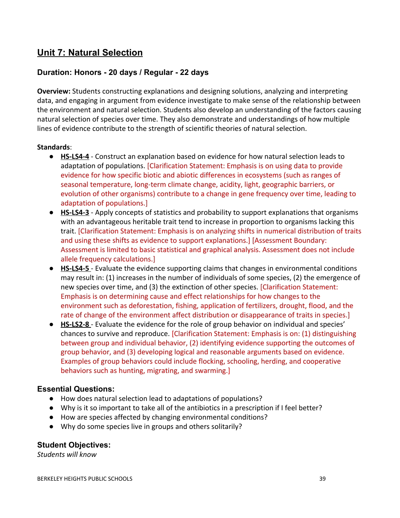# **Unit 7: Natural Selection**

### **Duration: Honors - 20 days / Regular - 22 days**

**Overview:** Students constructing explanations and designing solutions, analyzing and interpreting data, and engaging in argument from evidence investigate to make sense of the relationship between the environment and natural selection. Students also develop an understanding of the factors causing natural selection of species over time. They also demonstrate and understandings of how multiple lines of evidence contribute to the strength of scientific theories of natural selection.

#### **Standards**:

- **HS-LS4-4** Construct an explanation based on evidence for how natural selection leads to adaptation of populations. [Clarification Statement: Emphasis is on using data to provide evidence for how specific biotic and abiotic differences in ecosystems (such as ranges of seasonal temperature, long-term climate change, acidity, light, geographic barriers, or evolution of other organisms) contribute to a change in gene frequency over time, leading to adaptation of populations.]
- **HS-LS4-3** Apply concepts of statistics and probability to support explanations that organisms with an advantageous heritable trait tend to increase in proportion to organisms lacking this trait. [Clarification Statement: Emphasis is on analyzing shifts in numerical distribution of traits and using these shifts as evidence to support explanations.] [Assessment Boundary: Assessment is limited to basic statistical and graphical analysis. Assessment does not include allele frequency calculations.]
- **HS-LS4-5** Evaluate the evidence supporting claims that changes in environmental conditions may result in: (1) increases in the number of individuals of some species, (2) the emergence of new species over time, and (3) the extinction of other species. [Clarification Statement: Emphasis is on determining cause and effect relationships for how changes to the environment such as deforestation, fishing, application of fertilizers, drought, flood, and the rate of change of the environment affect distribution or disappearance of traits in species.]
- **HS-LS2-8** Evaluate the evidence for the role of group behavior on individual and species' chances to survive and reproduce. [Clarification Statement: Emphasis is on: (1) distinguishing between group and individual behavior, (2) identifying evidence supporting the outcomes of group behavior, and (3) developing logical and reasonable arguments based on evidence. Examples of group behaviors could include flocking, schooling, herding, and cooperative behaviors such as hunting, migrating, and swarming.]

#### **Essential Questions:**

- How does natural selection lead to adaptations of populations?
- Why is it so important to take all of the antibiotics in a prescription if I feel better?
- How are species affected by changing environmental conditions?
- Why do some species live in groups and others solitarily?

### **Student Objectives:**

… *Students will know*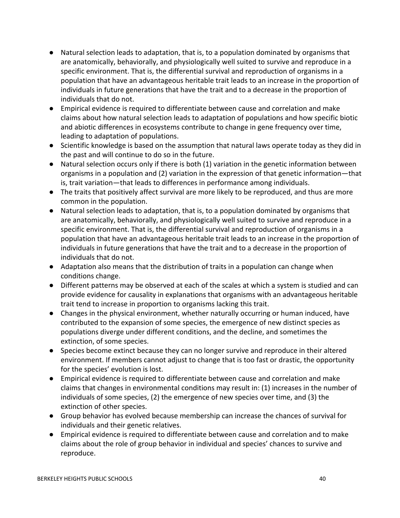- Natural selection leads to adaptation, that is, to a population dominated by organisms that are anatomically, behaviorally, and physiologically well suited to survive and reproduce in a specific environment. That is, the differential survival and reproduction of organisms in a population that have an advantageous heritable trait leads to an increase in the proportion of individuals in future generations that have the trait and to a decrease in the proportion of individuals that do not.
- Empirical evidence is required to differentiate between cause and correlation and make claims about how natural selection leads to adaptation of populations and how specific biotic and abiotic differences in ecosystems contribute to change in gene frequency over time, leading to adaptation of populations.
- Scientific knowledge is based on the assumption that natural laws operate today as they did in the past and will continue to do so in the future.
- Natural selection occurs only if there is both (1) variation in the genetic information between organisms in a population and (2) variation in the expression of that genetic information—that is, trait variation—that leads to differences in performance among individuals.
- The traits that positively affect survival are more likely to be reproduced, and thus are more common in the population.
- Natural selection leads to adaptation, that is, to a population dominated by organisms that are anatomically, behaviorally, and physiologically well suited to survive and reproduce in a specific environment. That is, the differential survival and reproduction of organisms in a population that have an advantageous heritable trait leads to an increase in the proportion of individuals in future generations that have the trait and to a decrease in the proportion of individuals that do not.
- Adaptation also means that the distribution of traits in a population can change when conditions change.
- Different patterns may be observed at each of the scales at which a system is studied and can provide evidence for causality in explanations that organisms with an advantageous heritable trait tend to increase in proportion to organisms lacking this trait.
- Changes in the physical environment, whether naturally occurring or human induced, have contributed to the expansion of some species, the emergence of new distinct species as populations diverge under different conditions, and the decline, and sometimes the extinction, of some species.
- Species become extinct because they can no longer survive and reproduce in their altered environment. If members cannot adjust to change that is too fast or drastic, the opportunity for the species' evolution is lost.
- Empirical evidence is required to differentiate between cause and correlation and make claims that changes in environmental conditions may result in: (1) increases in the number of individuals of some species, (2) the emergence of new species over time, and (3) the extinction of other species.
- Group behavior has evolved because membership can increase the chances of survival for individuals and their genetic relatives.
- Empirical evidence is required to differentiate between cause and correlation and to make claims about the role of group behavior in individual and species' chances to survive and reproduce.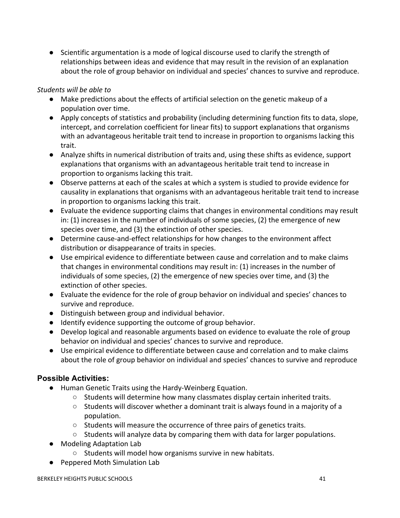● Scientific argumentation is a mode of logical discourse used to clarify the strength of relationships between ideas and evidence that may result in the revision of an explanation about the role of group behavior on individual and species' chances to survive and reproduce.

### … *Students will be able to*

- Make predictions about the effects of artificial selection on the genetic makeup of a population over time.
- Apply concepts of statistics and probability (including determining function fits to data, slope, intercept, and correlation coefficient for linear fits) to support explanations that organisms with an advantageous heritable trait tend to increase in proportion to organisms lacking this trait.
- Analyze shifts in numerical distribution of traits and, using these shifts as evidence, support explanations that organisms with an advantageous heritable trait tend to increase in proportion to organisms lacking this trait.
- Observe patterns at each of the scales at which a system is studied to provide evidence for causality in explanations that organisms with an advantageous heritable trait tend to increase in proportion to organisms lacking this trait.
- Evaluate the evidence supporting claims that changes in environmental conditions may result in: (1) increases in the number of individuals of some species, (2) the emergence of new species over time, and (3) the extinction of other species.
- Determine cause-and-effect relationships for how changes to the environment affect distribution or disappearance of traits in species.
- Use empirical evidence to differentiate between cause and correlation and to make claims that changes in environmental conditions may result in: (1) increases in the number of individuals of some species, (2) the emergence of new species over time, and (3) the extinction of other species.
- Evaluate the evidence for the role of group behavior on individual and species' chances to survive and reproduce.
- Distinguish between group and individual behavior.
- Identify evidence supporting the outcome of group behavior.
- Develop logical and reasonable arguments based on evidence to evaluate the role of group behavior on individual and species' chances to survive and reproduce.
- Use empirical evidence to differentiate between cause and correlation and to make claims about the role of group behavior on individual and species' chances to survive and reproduce

# **Possible Activities:**

- Human Genetic Traits using the Hardy-Weinberg Equation.
	- Students will determine how many classmates display certain inherited traits.
	- Students will discover whether a dominant trait is always found in a majority of a population.
	- Students will measure the occurrence of three pairs of genetics traits.
	- $\circ$  Students will analyze data by comparing them with data for larger populations.
- Modeling Adaptation Lab
	- Students will model how organisms survive in new habitats.
- Peppered Moth Simulation Lab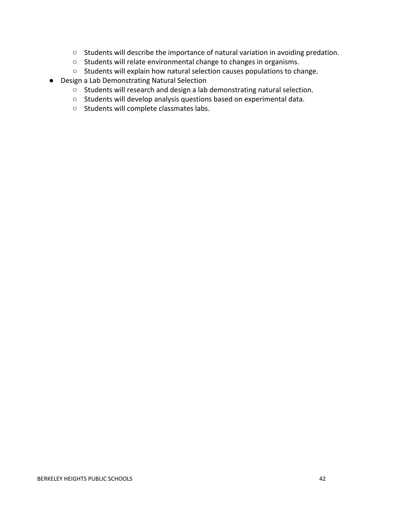- Students will describe the importance of natural variation in avoiding predation.
- Students will relate environmental change to changes in organisms.
- Students will explain how natural selection causes populations to change.
- Design a Lab Demonstrating Natural Selection
	- Students will research and design a lab demonstrating natural selection.
	- Students will develop analysis questions based on experimental data.
	- Students will complete classmates labs.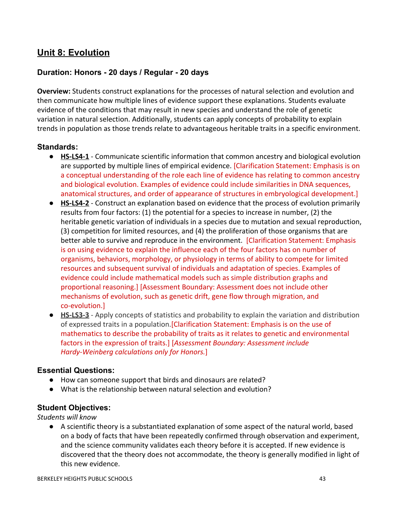# **Unit 8: Evolution**

## **Duration: Honors - 20 days / Regular - 20 days**

**Overview:** Students construct explanations for the processes of natural selection and evolution and then communicate how multiple lines of evidence support these explanations. Students evaluate evidence of the conditions that may result in new species and understand the role of genetic variation in natural selection. Additionally, students can apply concepts of probability to explain trends in population as those trends relate to advantageous heritable traits in a specific environment.

### **Standards:**

- **HS-LS4-1** Communicate scientific information that common ancestry and biological evolution are supported by multiple lines of empirical evidence. [Clarification Statement: Emphasis is on a conceptual understanding of the role each line of evidence has relating to common ancestry and biological evolution. Examples of evidence could include similarities in DNA sequences, anatomical structures, and order of appearance of structures in embryological development.]
- **HS-LS4-2** Construct an explanation based on evidence that the process of evolution primarily results from four factors: (1) the potential for a species to increase in number, (2) the heritable genetic variation of individuals in a species due to mutation and sexual reproduction, (3) competition for limited resources, and (4) the proliferation of those organisms that are better able to survive and reproduce in the environment. [Clarification Statement: Emphasis is on using evidence to explain the influence each of the four factors has on number of organisms, behaviors, morphology, or physiology in terms of ability to compete for limited resources and subsequent survival of individuals and adaptation of species. Examples of evidence could include mathematical models such as simple distribution graphs and proportional reasoning.] [Assessment Boundary: Assessment does not include other mechanisms of evolution, such as genetic drift, gene flow through migration, and co-evolution.]
- **HS-LS3-3** Apply concepts of statistics and probability to explain the variation and distribution of expressed traits in a population.[Clarification Statement: Emphasis is on the use of mathematics to describe the probability of traits as it relates to genetic and environmental factors in the expression of traits.] [*Assessment Boundary: Assessment include Hardy-Weinberg calculations only for Honors.*]

#### **Essential Questions:**

- How can someone support that birds and dinosaurs are related?
- What is the relationship between natural selection and evolution?

### **Student Objectives:**

… *Students will know*

● A scientific theory is a substantiated explanation of some aspect of the natural world, based on a body of facts that have been repeatedly confirmed through observation and experiment, and the science community validates each theory before it is accepted. If new evidence is discovered that the theory does not accommodate, the theory is generally modified in light of this new evidence.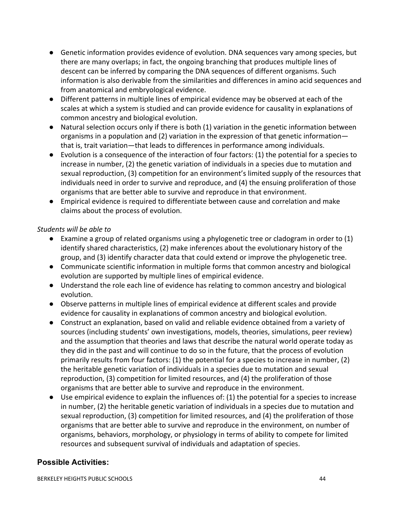- Genetic information provides evidence of evolution. DNA sequences vary among species, but there are many overlaps; in fact, the ongoing branching that produces multiple lines of descent can be inferred by comparing the DNA sequences of different organisms. Such information is also derivable from the similarities and differences in amino acid sequences and from anatomical and embryological evidence.
- Different patterns in multiple lines of empirical evidence may be observed at each of the scales at which a system is studied and can provide evidence for causality in explanations of common ancestry and biological evolution.
- Natural selection occurs only if there is both (1) variation in the genetic information between organisms in a population and (2) variation in the expression of that genetic information that is, trait variation—that leads to differences in performance among individuals.
- Evolution is a consequence of the interaction of four factors: (1) the potential for a species to increase in number, (2) the genetic variation of individuals in a species due to mutation and sexual reproduction, (3) competition for an environment's limited supply of the resources that individuals need in order to survive and reproduce, and (4) the ensuing proliferation of those organisms that are better able to survive and reproduce in that environment.
- Empirical evidence is required to differentiate between cause and correlation and make claims about the process of evolution.

### … *Students will be able to*

- Examine a group of related organisms using a phylogenetic tree or cladogram in order to (1) identify shared characteristics, (2) make inferences about the evolutionary history of the group, and (3) identify character data that could extend or improve the phylogenetic tree.
- Communicate scientific information in multiple forms that common ancestry and biological evolution are supported by multiple lines of empirical evidence.
- Understand the role each line of evidence has relating to common ancestry and biological evolution.
- Observe patterns in multiple lines of empirical evidence at different scales and provide evidence for causality in explanations of common ancestry and biological evolution.
- Construct an explanation, based on valid and reliable evidence obtained from a variety of sources (including students' own investigations, models, theories, simulations, peer review) and the assumption that theories and laws that describe the natural world operate today as they did in the past and will continue to do so in the future, that the process of evolution primarily results from four factors: (1) the potential for a species to increase in number, (2) the heritable genetic variation of individuals in a species due to mutation and sexual reproduction, (3) competition for limited resources, and (4) the proliferation of those organisms that are better able to survive and reproduce in the environment.
- Use empirical evidence to explain the influences of: (1) the potential for a species to increase in number, (2) the heritable genetic variation of individuals in a species due to mutation and sexual reproduction, (3) competition for limited resources, and (4) the proliferation of those organisms that are better able to survive and reproduce in the environment, on number of organisms, behaviors, morphology, or physiology in terms of ability to compete for limited resources and subsequent survival of individuals and adaptation of species.

### **Possible Activities:**

BERKELEY HEIGHTS PUBLIC SCHOOLS 44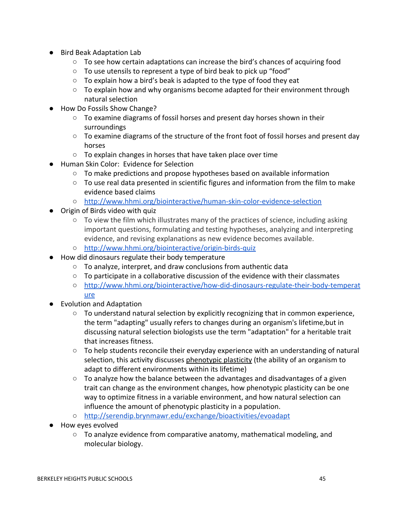- Bird Beak Adaptation Lab
	- To see how certain adaptations can increase the bird's chances of acquiring food
	- To use utensils to represent a type of bird beak to pick up "food"
	- To explain how a bird's beak is adapted to the type of food they eat
	- To explain how and why organisms become adapted for their environment through natural selection
- How Do Fossils Show Change?
	- $\circ$  To examine diagrams of fossil horses and present day horses shown in their surroundings
	- To examine diagrams of the structure of the front foot of fossil horses and present day horses
	- To explain changes in horses that have taken place over time
- Human Skin Color: Evidence for Selection
	- $\circ$  To make predictions and propose hypotheses based on available information
	- To use real data presented in scientific figures and information from the film to make evidence based claims
	- <http://www.hhmi.org/biointeractive/human-skin-color-evidence-selection>
- Origin of Birds video with quiz
	- $\circ$  To view the film which illustrates many of the practices of science, including asking important questions, formulating and testing hypotheses, analyzing and interpreting evidence, and revising explanations as new evidence becomes available.
	- <http://www.hhmi.org/biointeractive/origin-birds-quiz>
- How did dinosaurs regulate their body temperature
	- To analyze, interpret, and draw conclusions from authentic data
	- $\circ$  To participate in a collaborative discussion of the evidence with their classmates
	- [http://www.hhmi.org/biointeractive/how-did-dinosaurs-regulate-their-body-temperat](http://www.hhmi.org/biointeractive/how-did-dinosaurs-regulate-their-body-temperature) [ure](http://www.hhmi.org/biointeractive/how-did-dinosaurs-regulate-their-body-temperature)
- Evolution and Adaptation
	- $\circ$  To understand natural selection by explicitly recognizing that in common experience, the term "adapting" usually refers to changes during an organism's lifetime,but in discussing natural selection biologists use the term "adaptation" for a heritable trait that increases fitness.
	- To help students reconcile their everyday experience with an understanding of natural selection, this activity discusses phenotypic plasticity (the ability of an organism to adapt to different environments within its lifetime)
	- $\circ$  To analyze how the balance between the advantages and disadvantages of a given trait can change as the environment changes, how phenotypic plasticity can be one way to optimize fitness in a variable environment, and how natural selection can influence the amount of phenotypic plasticity in a population.
	- <http://serendip.brynmawr.edu/exchange/bioactivities/evoadapt>
- How eyes evolved
	- To analyze evidence from comparative anatomy, mathematical modeling, and molecular biology.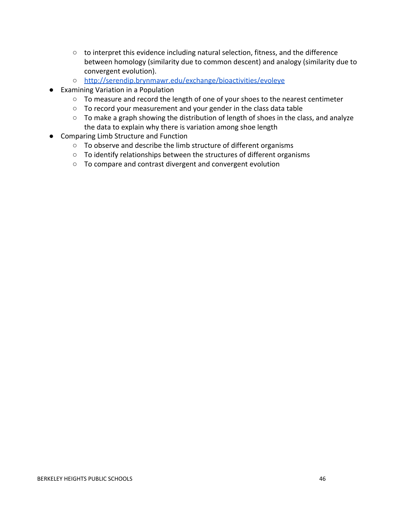- to interpret this evidence including natural selection, fitness, and the difference between homology (similarity due to common descent) and analogy (similarity due to convergent evolution).
- <http://serendip.brynmawr.edu/exchange/bioactivities/evoleye>
- Examining Variation in a Population
	- To measure and record the length of one of your shoes to the nearest centimeter
	- To record your measurement and your gender in the class data table
	- To make a graph showing the distribution of length of shoes in the class, and analyze the data to explain why there is variation among shoe length
- Comparing Limb Structure and Function
	- To observe and describe the limb structure of different organisms
	- To identify relationships between the structures of different organisms
	- To compare and contrast divergent and convergent evolution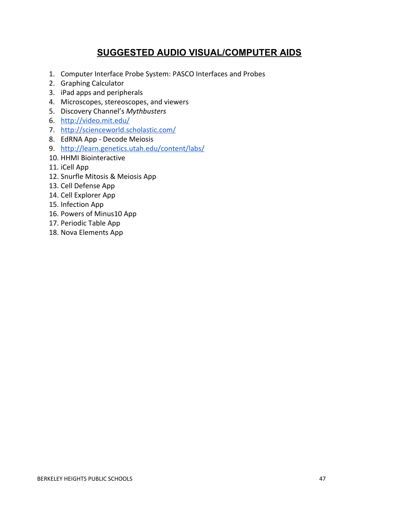# **SUGGESTED AUDIO VISUAL/COMPUTER AIDS**

- 1. Computer Interface Probe System: PASCO Interfaces and Probes
- 2. Graphing Calculator
- 3. iPad apps and peripherals
- 4. Microscopes, stereoscopes, and viewers
- 5. Discovery Channel's *Mythbusters*
- 6. <http://video.mit.edu/>
- 7. <http://scienceworld.scholastic.com/>
- 8. EdRNA App Decode Meiosis
- 9. <http://learn.genetics.utah.edu/content/labs/>
- 10. HHMI Biointeractive
- 11. iCell App
- 12. Snurfle Mitosis & Meiosis App
- 13. Cell Defense App
- 14. Cell Explorer App
- 15. Infection App
- 16. Powers of Minus10 App
- 17. Periodic Table App
- 18. Nova Elements App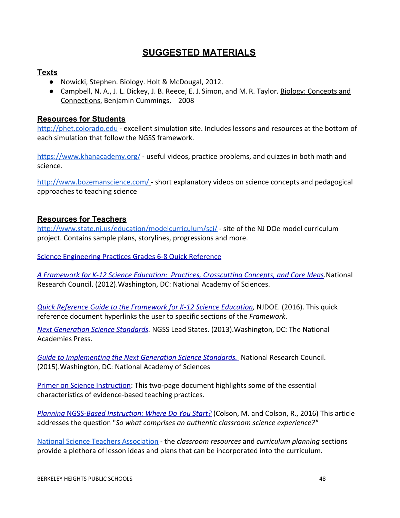# **SUGGESTED MATERIALS**

### **Texts**

- Nowicki, Stephen. Biology. Holt & McDougal, 2012.
- Campbell, N. A., J. L. Dickey, J. B. Reece, E. J. Simon, and M. R. Taylor. Biology: Concepts and Connections. Benjamin Cummings, 2008

### **Resources for Students**

[http://phet.colorado.edu](http://phet.colorado.edu/) - excellent simulation site. Includes lessons and resources at the bottom of each simulation that follow the NGSS framework.

<https://www.khanacademy.org/> - useful videos, practice problems, and quizzes in both math and science.

<http://www.bozemanscience.com/> - short explanatory videos on science concepts and pedagogical approaches to teaching science

### **Resources for Teachers**

<http://www.state.nj.us/education/modelcurriculum/sci/>- site of the NJ DOe model curriculum project. Contains sample plans, storylines, progressions and more.

[Science Engineering Practices Grades 6-8 Quick Reference](http://www.state.nj.us/education/aps/cccs/science/resources/QR68.pdf)

*[A Framework for K-12 Science Education: Practices, Crosscutting Concepts, and Core Ideas.](http://www.nap.edu/catalog.php?record_id=13165)*National Research Council. (2012).Washington, DC: National Academy of Sciences.

*[Quick Reference Guide to the Framework for K-12 Science Education,](http://www.state.nj.us/education/aps/cccs/science/resources/FrameworkQuickReferenceGuide.pdf)* NJDOE. (2016). This quick reference document hyperlinks the user to specific sections of the *Framework*.

*[Next Generation Science Standards.](http://www.nextgenscience.org/)* NGSS Lead States. (2013).Washington, DC: The National Academies Press.

*[Guide to Implementing the Next Generation Science Standards.](http://www.nap.edu/catalog/18802/guide-to-implementing-the-next-generation-science-standards)* National Research Council. (2015).Washington, DC: National Academy of Sciences

[Primer on Science Instruction:](http://www.state.nj.us/education/aps/cccs/science/resources/NJSLS-SPrimer.pdf) This two-page document highlights some of the essential characteristics of evidence-based teaching practices.

*[Planning](http://static.nsta.org/files/tst1602_51.pdf)* [NGSS](http://static.nsta.org/files/tst1602_51.pdf)*[-Based Instruction: Where Do You Start?](http://static.nsta.org/files/tst1602_51.pdf)* (Colson, M. and Colson, R., 2016) This article addresses the question "*So what comprises an authentic classroom science experience?"*

[National Science Teachers Association](http://ngss.nsta.org/Default.aspx) *-* the *classroom resources* and *curriculum planning* sections provide a plethora of lesson ideas and plans that can be incorporated into the curriculum*.*